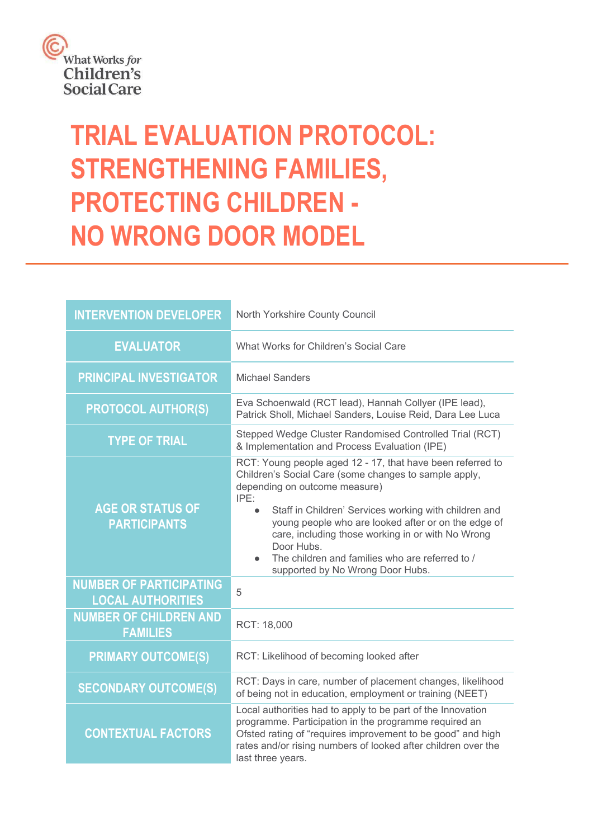

# **TRIAL EVALUATION PROTOCOL: STRENGTHENING FAMILIES, PROTECTING CHILDREN - NO WRONG DOOR MODEL**

| <b>INTERVENTION DEVELOPER</b>                              | North Yorkshire County Council                                                                                                                                                                                                                                                                                                                                                                                                                      |  |
|------------------------------------------------------------|-----------------------------------------------------------------------------------------------------------------------------------------------------------------------------------------------------------------------------------------------------------------------------------------------------------------------------------------------------------------------------------------------------------------------------------------------------|--|
| <b>EVALUATOR</b>                                           | What Works for Children's Social Care                                                                                                                                                                                                                                                                                                                                                                                                               |  |
| <b>PRINCIPAL INVESTIGATOR</b>                              | <b>Michael Sanders</b>                                                                                                                                                                                                                                                                                                                                                                                                                              |  |
| <b>PROTOCOL AUTHOR(S)</b>                                  | Eva Schoenwald (RCT lead), Hannah Collyer (IPE lead),<br>Patrick Sholl, Michael Sanders, Louise Reid, Dara Lee Luca                                                                                                                                                                                                                                                                                                                                 |  |
| <b>TYPE OF TRIAL</b>                                       | Stepped Wedge Cluster Randomised Controlled Trial (RCT)<br>& Implementation and Process Evaluation (IPE)                                                                                                                                                                                                                                                                                                                                            |  |
| <b>AGE OR STATUS OF</b><br><b>PARTICIPANTS</b>             | RCT: Young people aged 12 - 17, that have been referred to<br>Children's Social Care (some changes to sample apply,<br>depending on outcome measure)<br>IPE:<br>Staff in Children' Services working with children and<br>$\bullet$<br>young people who are looked after or on the edge of<br>care, including those working in or with No Wrong<br>Door Hubs.<br>The children and families who are referred to /<br>supported by No Wrong Door Hubs. |  |
| <b>NUMBER OF PARTICIPATING</b><br><b>LOCAL AUTHORITIES</b> | 5                                                                                                                                                                                                                                                                                                                                                                                                                                                   |  |
| <b>NUMBER OF CHILDREN AND</b><br><b>FAMILIES</b>           | RCT: 18,000                                                                                                                                                                                                                                                                                                                                                                                                                                         |  |
| <b>PRIMARY OUTCOME(S)</b>                                  | RCT: Likelihood of becoming looked after                                                                                                                                                                                                                                                                                                                                                                                                            |  |
| <b>SECONDARY OUTCOME(S)</b>                                | RCT: Days in care, number of placement changes, likelihood<br>of being not in education, employment or training (NEET)                                                                                                                                                                                                                                                                                                                              |  |
| <b>CONTEXTUAL FACTORS</b>                                  | Local authorities had to apply to be part of the Innovation<br>programme. Participation in the programme required an<br>Ofsted rating of "requires improvement to be good" and high<br>rates and/or rising numbers of looked after children over the<br>last three years.                                                                                                                                                                           |  |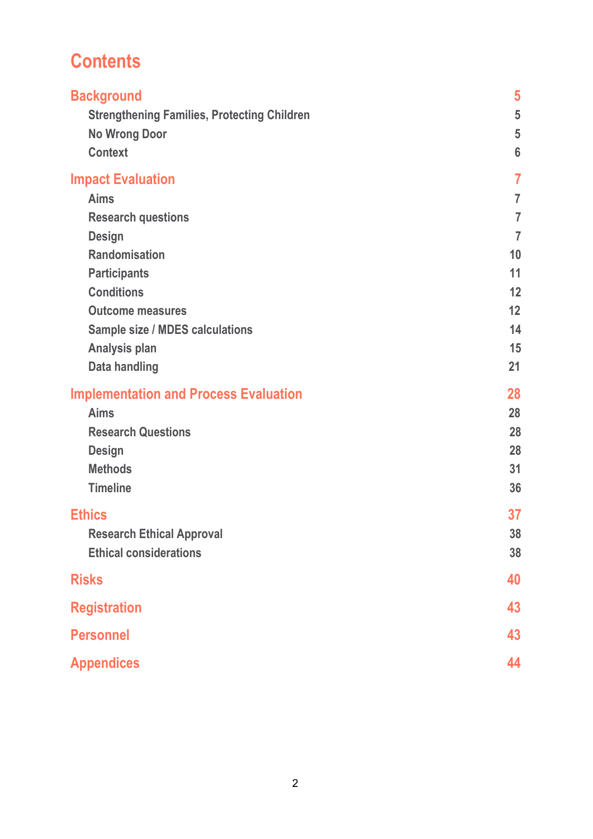# **Contents**

| <b>Background</b><br><b>Strengthening Families, Protecting Children</b><br><b>No Wrong Door</b><br><b>Context</b> | 5<br>5<br>5<br>$6\phantom{1}6$ |
|-------------------------------------------------------------------------------------------------------------------|--------------------------------|
| <b>Impact Evaluation</b>                                                                                          | $\overline{7}$                 |
| <b>Aims</b>                                                                                                       | $\overline{7}$                 |
| <b>Research questions</b>                                                                                         | $\overline{7}$                 |
| <b>Design</b>                                                                                                     | $\overline{7}$                 |
| <b>Randomisation</b>                                                                                              | 10                             |
| <b>Participants</b>                                                                                               | 11                             |
| <b>Conditions</b>                                                                                                 | 12                             |
| <b>Outcome measures</b>                                                                                           | 12                             |
| <b>Sample size / MDES calculations</b>                                                                            | 14                             |
| <b>Analysis plan</b>                                                                                              | 15                             |
| <b>Data handling</b>                                                                                              | 21                             |
| <b>Implementation and Process Evaluation</b>                                                                      | 28                             |
| <b>Aims</b>                                                                                                       | 28                             |
| <b>Research Questions</b>                                                                                         | 28                             |
| <b>Design</b>                                                                                                     | 28                             |
| <b>Methods</b>                                                                                                    | 31                             |
| <b>Timeline</b>                                                                                                   | 36                             |
| <b>Ethics</b>                                                                                                     | 37                             |
| <b>Research Ethical Approval</b>                                                                                  | 38                             |
| <b>Ethical considerations</b>                                                                                     | 38                             |
| <b>Risks</b>                                                                                                      | 40                             |
| <b>Registration</b>                                                                                               | 43                             |
| <b>Personnel</b>                                                                                                  | 43                             |
| <b>Appendices</b>                                                                                                 | 44                             |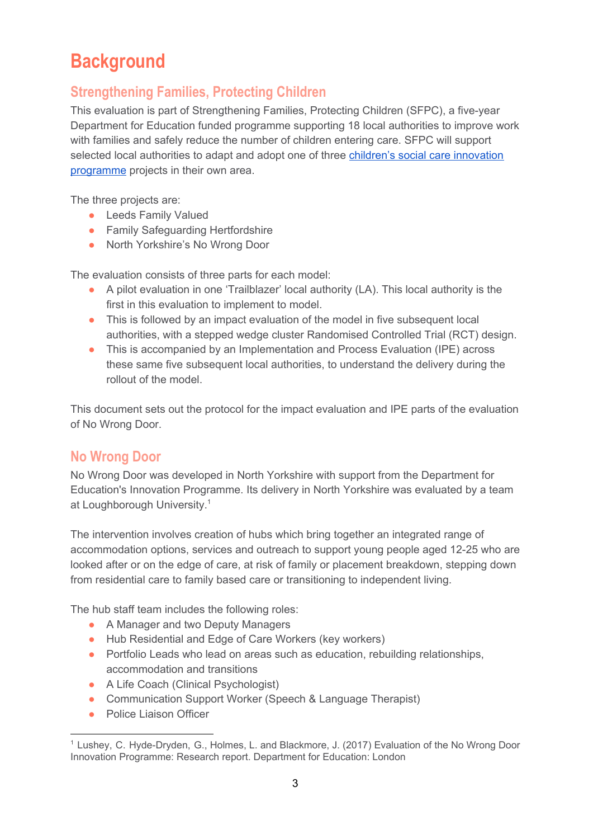# **Background**

# <span id="page-2-0"></span>**Strengthening Families, Protecting Children**

This evaluation is part of Strengthening Families, Protecting Children (SFPC), a five-year Department for Education funded programme supporting 18 local authorities to improve work with families and safely reduce the number of children entering care. SFPC will support selected local authorities to adapt and adopt one of three children's social care [innovation](https://www.gov.uk/government/publications/childrens-social-care-innovation-programme) [programme](https://www.gov.uk/government/publications/childrens-social-care-innovation-programme) projects in their own area.

The three projects are:

- Leeds Family Valued
- Family Safequarding Hertfordshire
- North Yorkshire's No Wrong Door

The evaluation consists of three parts for each model:

- A pilot evaluation in one 'Trailblazer' local authority (LA). This local authority is the first in this evaluation to implement to model.
- This is followed by an impact evaluation of the model in five subsequent local authorities, with a stepped wedge cluster Randomised Controlled Trial (RCT) design.
- This is accompanied by an Implementation and Process Evaluation (IPE) across these same five subsequent local authorities, to understand the delivery during the rollout of the model.

This document sets out the protocol for the impact evaluation and IPE parts of the evaluation of No Wrong Door.

## <span id="page-2-1"></span>**No Wrong Door**

No Wrong Door was developed in North Yorkshire with support from the Department for Education's Innovation Programme. Its delivery in North Yorkshire was evaluated by a team at Loughborough University. 1

The intervention involves creation of hubs which bring together an integrated range of accommodation options, services and outreach to support young people aged 12-25 who are looked after or on the edge of care, at risk of family or placement breakdown, stepping down from residential care to family based care or transitioning to independent living.

The hub staff team includes the following roles:

- A Manager and two Deputy Managers
- Hub Residential and Edge of Care Workers (key workers)
- Portfolio Leads who lead on areas such as education, rebuilding relationships, accommodation and transitions
- A Life Coach (Clinical Psychologist)
- Communication Support Worker (Speech & Language Therapist)
- Police Liaison Officer

<sup>&</sup>lt;sup>1</sup> Lushey, C. Hyde-Dryden, G., Holmes, L. and Blackmore, J. (2017) Evaluation of the No Wrong Door Innovation Programme: Research report. Department for Education: London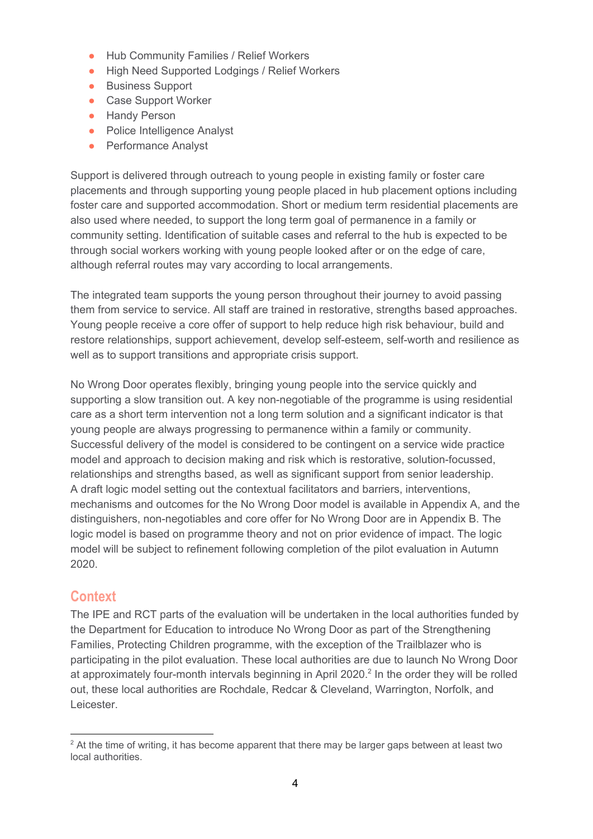- Hub Community Families / Relief Workers
- High Need Supported Lodgings / Relief Workers
- Business Support
- Case Support Worker
- Handy Person
- Police Intelligence Analyst
- Performance Analyst

Support is delivered through outreach to young people in existing family or foster care placements and through supporting young people placed in hub placement options including foster care and supported accommodation. Short or medium term residential placements are also used where needed, to support the long term goal of permanence in a family or community setting. Identification of suitable cases and referral to the hub is expected to be through social workers working with young people looked after or on the edge of care, although referral routes may vary according to local arrangements.

The integrated team supports the young person throughout their journey to avoid passing them from service to service. All staff are trained in restorative, strengths based approaches. Young people receive a core offer of support to help reduce high risk behaviour, build and restore relationships, support achievement, develop self-esteem, self-worth and resilience as well as to support transitions and appropriate crisis support.

No Wrong Door operates flexibly, bringing young people into the service quickly and supporting a slow transition out. A key non-negotiable of the programme is using residential care as a short term intervention not a long term solution and a significant indicator is that young people are always progressing to permanence within a family or community. Successful delivery of the model is considered to be contingent on a service wide practice model and approach to decision making and risk which is restorative, solution-focussed, relationships and strengths based, as well as significant support from senior leadership. A draft logic model setting out the contextual facilitators and barriers, interventions, mechanisms and outcomes for the No Wrong Door model is available in Appendix A, and the distinguishers, non-negotiables and core offer for No Wrong Door are in Appendix B. The logic model is based on programme theory and not on prior evidence of impact. The logic model will be subject to refinement following completion of the pilot evaluation in Autumn 2020.

## <span id="page-3-0"></span>**Context**

The IPE and RCT parts of the evaluation will be undertaken in the local authorities funded by the Department for Education to introduce No Wrong Door as part of the Strengthening Families, Protecting Children programme, with the exception of the Trailblazer who is participating in the pilot evaluation. These local authorities are due to launch No Wrong Door at approximately four-month intervals beginning in April 2020. $^2$  In the order they will be rolled out, these local authorities are Rochdale, Redcar & Cleveland, Warrington, Norfolk, and Leicester.

<sup>&</sup>lt;sup>2</sup> At the time of writing, it has become apparent that there may be larger gaps between at least two local authorities.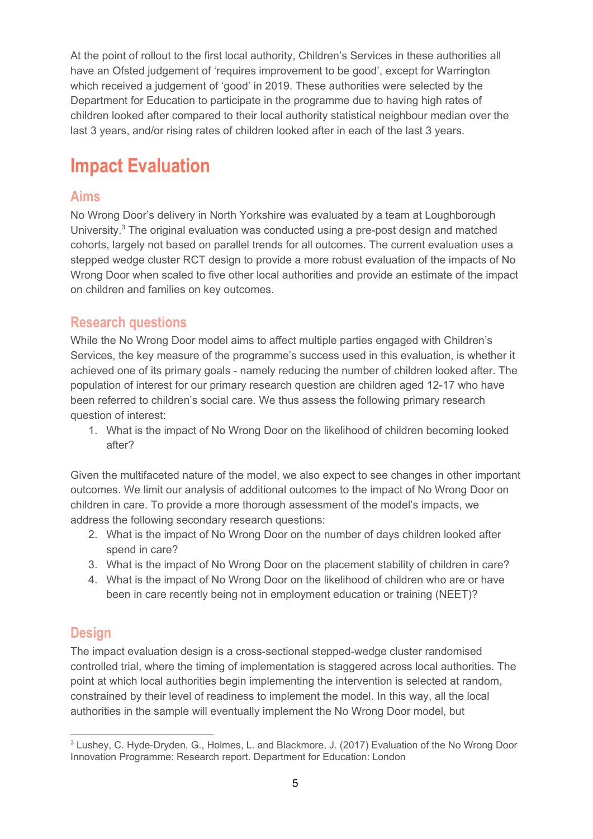At the point of rollout to the first local authority, Children's Services in these authorities all have an Ofsted judgement of 'requires improvement to be good', except for Warrington which received a judgement of 'good' in 2019. These authorities were selected by the Department for Education to participate in the programme due to having high rates of children looked after compared to their local authority statistical neighbour median over the last 3 years, and/or rising rates of children looked after in each of the last 3 years.

# <span id="page-4-0"></span>**Impact Evaluation**

## <span id="page-4-1"></span>**Aims**

No Wrong Door's delivery in North Yorkshire was evaluated by a team at Loughborough University. $3$  The original evaluation was conducted using a pre-post design and matched cohorts, largely not based on parallel trends for all outcomes. The current evaluation uses a stepped wedge cluster RCT design to provide a more robust evaluation of the impacts of No Wrong Door when scaled to five other local authorities and provide an estimate of the impact on children and families on key outcomes.

## <span id="page-4-2"></span>**Research questions**

While the No Wrong Door model aims to affect multiple parties engaged with Children's Services, the key measure of the programme's success used in this evaluation, is whether it achieved one of its primary goals - namely reducing the number of children looked after. The population of interest for our primary research question are children aged 12-17 who have been referred to children's social care. We thus assess the following primary research question of interest:

1. What is the impact of No Wrong Door on the likelihood of children becoming looked after?

Given the multifaceted nature of the model, we also expect to see changes in other important outcomes. We limit our analysis of additional outcomes to the impact of No Wrong Door on children in care. To provide a more thorough assessment of the model's impacts, we address the following secondary research questions:

- 2. What is the impact of No Wrong Door on the number of days children looked after spend in care?
- 3. What is the impact of No Wrong Door on the placement stability of children in care?
- 4. What is the impact of No Wrong Door on the likelihood of children who are or have been in care recently being not in employment education or training (NEET)?

# <span id="page-4-3"></span>**Design**

The impact evaluation design is a cross-sectional stepped-wedge cluster randomised controlled trial, where the timing of implementation is staggered across local authorities. The point at which local authorities begin implementing the intervention is selected at random, constrained by their level of readiness to implement the model. In this way, all the local authorities in the sample will eventually implement the No Wrong Door model, but

<sup>&</sup>lt;sup>3</sup> Lushey, C. Hyde-Dryden, G., Holmes, L. and Blackmore, J. (2017) Evaluation of the No Wrong Door Innovation Programme: Research report. Department for Education: London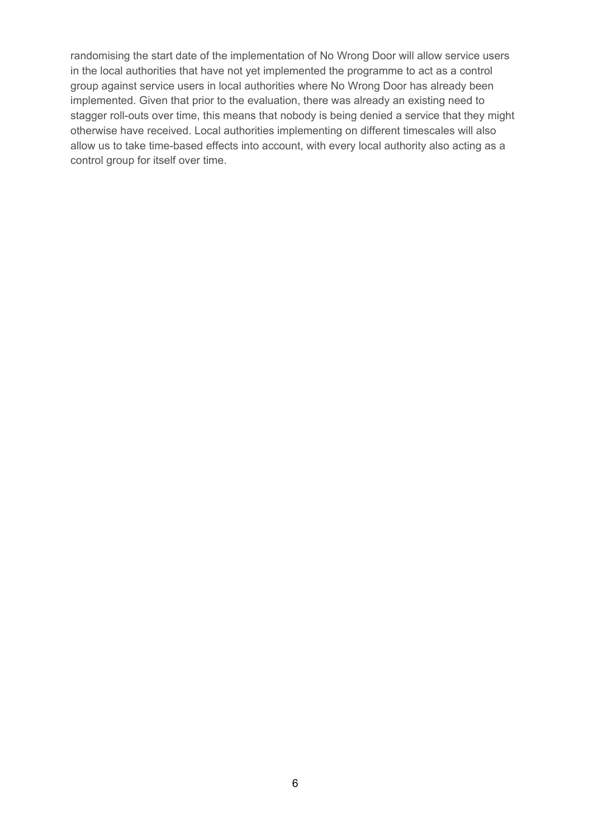randomising the start date of the implementation of No Wrong Door will allow service users in the local authorities that have not yet implemented the programme to act as a control group against service users in local authorities where No Wrong Door has already been implemented. Given that prior to the evaluation, there was already an existing need to stagger roll-outs over time, this means that nobody is being denied a service that they might otherwise have received. Local authorities implementing on different timescales will also allow us to take time-based effects into account, with every local authority also acting as a control group for itself over time.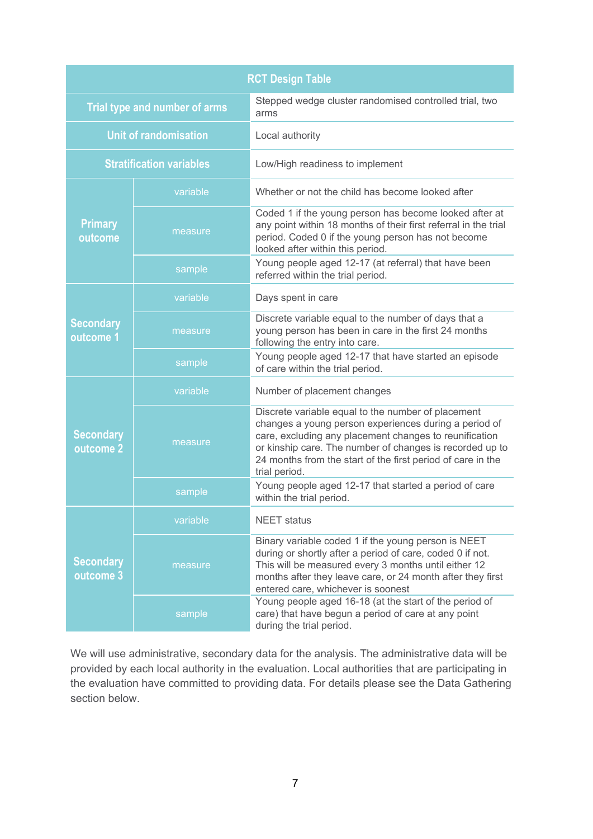| <b>RCT Design Table</b>       |                                 |                                                                                                                                                                                                                                                                                                                   |  |  |
|-------------------------------|---------------------------------|-------------------------------------------------------------------------------------------------------------------------------------------------------------------------------------------------------------------------------------------------------------------------------------------------------------------|--|--|
| Trial type and number of arms |                                 | Stepped wedge cluster randomised controlled trial, two<br>arms                                                                                                                                                                                                                                                    |  |  |
|                               | <b>Unit of randomisation</b>    | Local authority                                                                                                                                                                                                                                                                                                   |  |  |
|                               | <b>Stratification variables</b> | Low/High readiness to implement                                                                                                                                                                                                                                                                                   |  |  |
|                               | variable                        | Whether or not the child has become looked after                                                                                                                                                                                                                                                                  |  |  |
| <b>Primary</b><br>outcome     | measure                         | Coded 1 if the young person has become looked after at<br>any point within 18 months of their first referral in the trial<br>period. Coded 0 if the young person has not become<br>looked after within this period.                                                                                               |  |  |
|                               | sample                          | Young people aged 12-17 (at referral) that have been<br>referred within the trial period.                                                                                                                                                                                                                         |  |  |
|                               | variable                        | Days spent in care                                                                                                                                                                                                                                                                                                |  |  |
| <b>Secondary</b><br>outcome 1 | measure                         | Discrete variable equal to the number of days that a<br>young person has been in care in the first 24 months<br>following the entry into care.                                                                                                                                                                    |  |  |
|                               | sample                          | Young people aged 12-17 that have started an episode<br>of care within the trial period.                                                                                                                                                                                                                          |  |  |
|                               | variable                        | Number of placement changes                                                                                                                                                                                                                                                                                       |  |  |
| <b>Secondary</b><br>outcome 2 | measure                         | Discrete variable equal to the number of placement<br>changes a young person experiences during a period of<br>care, excluding any placement changes to reunification<br>or kinship care. The number of changes is recorded up to<br>24 months from the start of the first period of care in the<br>trial period. |  |  |
|                               | sample                          | Young people aged 12-17 that started a period of care<br>within the trial period.                                                                                                                                                                                                                                 |  |  |
|                               | variable                        | <b>NEET</b> status                                                                                                                                                                                                                                                                                                |  |  |
| <b>Secondary</b><br>outcome 3 | measure                         | Binary variable coded 1 if the young person is NEET<br>during or shortly after a period of care, coded 0 if not.<br>This will be measured every 3 months until either 12<br>months after they leave care, or 24 month after they first<br>entered care, whichever is soonest                                      |  |  |
|                               | sample                          | Young people aged 16-18 (at the start of the period of<br>care) that have begun a period of care at any point<br>during the trial period.                                                                                                                                                                         |  |  |

We will use administrative, secondary data for the analysis. The administrative data will be provided by each local authority in the evaluation. Local authorities that are participating in the evaluation have committed to providing data. For details please see the Data Gathering section below.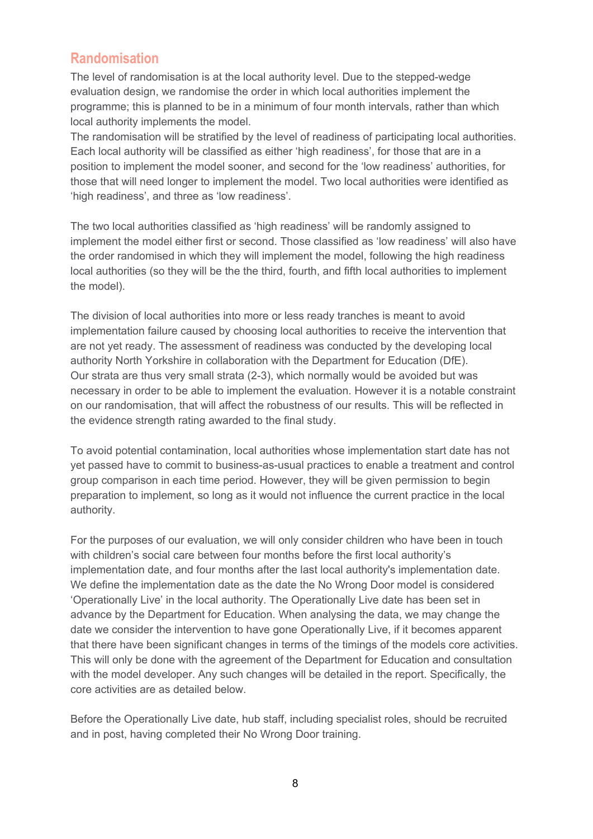## <span id="page-7-0"></span>**Randomisation**

The level of randomisation is at the local authority level. Due to the stepped-wedge evaluation design, we randomise the order in which local authorities implement the programme; this is planned to be in a minimum of four month intervals, rather than which local authority implements the model.

The randomisation will be stratified by the level of readiness of participating local authorities. Each local authority will be classified as either 'high readiness', for those that are in a position to implement the model sooner, and second for the 'low readiness' authorities, for those that will need longer to implement the model. Two local authorities were identified as 'high readiness', and three as 'low readiness'.

The two local authorities classified as 'high readiness' will be randomly assigned to implement the model either first or second. Those classified as 'low readiness' will also have the order randomised in which they will implement the model, following the high readiness local authorities (so they will be the the third, fourth, and fifth local authorities to implement the model).

The division of local authorities into more or less ready tranches is meant to avoid implementation failure caused by choosing local authorities to receive the intervention that are not yet ready. The assessment of readiness was conducted by the developing local authority North Yorkshire in collaboration with the Department for Education (DfE). Our strata are thus very small strata (2-3), which normally would be avoided but was necessary in order to be able to implement the evaluation. However it is a notable constraint on our randomisation, that will affect the robustness of our results. This will be reflected in the evidence strength rating awarded to the final study.

To avoid potential contamination, local authorities whose implementation start date has not yet passed have to commit to business-as-usual practices to enable a treatment and control group comparison in each time period. However, they will be given permission to begin preparation to implement, so long as it would not influence the current practice in the local authority.

For the purposes of our evaluation, we will only consider children who have been in touch with children's social care between four months before the first local authority's implementation date, and four months after the last local authority's implementation date. We define the implementation date as the date the No Wrong Door model is considered 'Operationally Live' in the local authority. The Operationally Live date has been set in advance by the Department for Education. When analysing the data, we may change the date we consider the intervention to have gone Operationally Live, if it becomes apparent that there have been significant changes in terms of the timings of the models core activities. This will only be done with the agreement of the Department for Education and consultation with the model developer. Any such changes will be detailed in the report. Specifically, the core activities are as detailed below.

Before the Operationally Live date, hub staff, including specialist roles, should be recruited and in post, having completed their No Wrong Door training.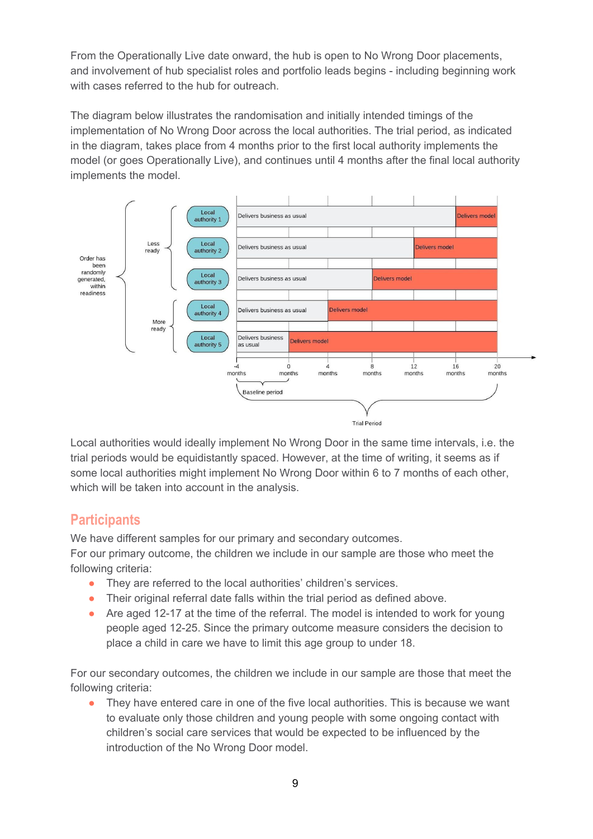From the Operationally Live date onward, the hub is open to No Wrong Door placements, and involvement of hub specialist roles and portfolio leads begins - including beginning work with cases referred to the hub for outreach.

The diagram below illustrates the randomisation and initially intended timings of the implementation of No Wrong Door across the local authorities. The trial period, as indicated in the diagram, takes place from 4 months prior to the first local authority implements the model (or goes Operationally Live), and continues until 4 months after the final local authority implements the model.



Local authorities would ideally implement No Wrong Door in the same time intervals, i.e. the trial periods would be equidistantly spaced. However, at the time of writing, it seems as if some local authorities might implement No Wrong Door within 6 to 7 months of each other, which will be taken into account in the analysis.

## <span id="page-8-0"></span>**Participants**

We have different samples for our primary and secondary outcomes.

For our primary outcome, the children we include in our sample are those who meet the following criteria:

- They are referred to the local authorities' children's services.
- Their original referral date falls within the trial period as defined above.
- Are aged 12-17 at the time of the referral. The model is intended to work for young people aged 12-25. Since the primary outcome measure considers the decision to place a child in care we have to limit this age group to under 18.

For our secondary outcomes, the children we include in our sample are those that meet the following criteria:

They have entered care in one of the five local authorities. This is because we want to evaluate only those children and young people with some ongoing contact with children's social care services that would be expected to be influenced by the introduction of the No Wrong Door model.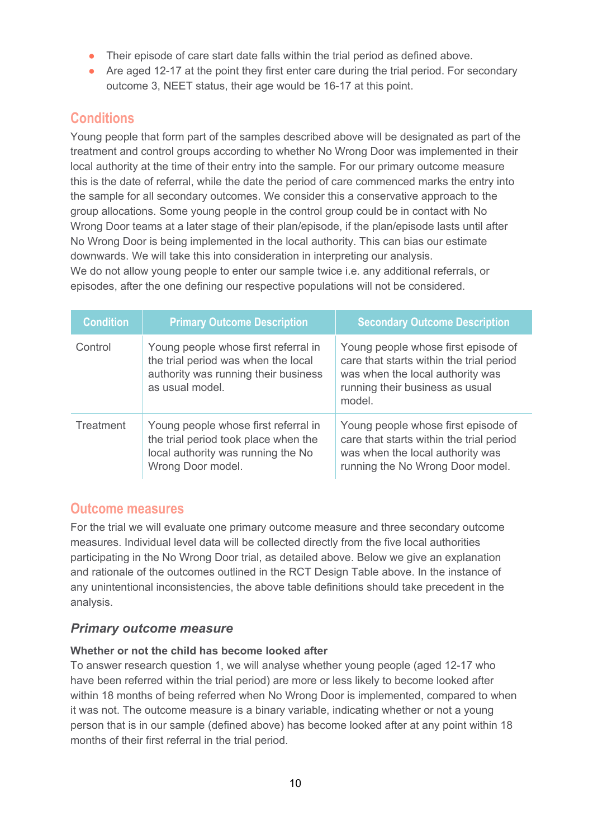- Their episode of care start date falls within the trial period as defined above.
- Are aged 12-17 at the point they first enter care during the trial period. For secondary outcome 3, NEET status, their age would be 16-17 at this point.

# <span id="page-9-0"></span>**Conditions**

Young people that form part of the samples described above will be designated as part of the treatment and control groups according to whether No Wrong Door was implemented in their local authority at the time of their entry into the sample. For our primary outcome measure this is the date of referral, while the date the period of care commenced marks the entry into the sample for all secondary outcomes. We consider this a conservative approach to the group allocations. Some young people in the control group could be in contact with No Wrong Door teams at a later stage of their plan/episode, if the plan/episode lasts until after No Wrong Door is being implemented in the local authority. This can bias our estimate downwards. We will take this into consideration in interpreting our analysis. We do not allow young people to enter our sample twice i.e. any additional referrals, or

episodes, after the one defining our respective populations will not be considered.

| <b>Condition</b> | <b>Primary Outcome Description</b>                                                                                                      | <b>Secondary Outcome Description</b>                                                                                                                             |
|------------------|-----------------------------------------------------------------------------------------------------------------------------------------|------------------------------------------------------------------------------------------------------------------------------------------------------------------|
| Control          | Young people whose first referral in<br>the trial period was when the local<br>authority was running their business<br>as usual model.  | Young people whose first episode of<br>care that starts within the trial period<br>was when the local authority was<br>running their business as usual<br>model. |
| Treatment        | Young people whose first referral in<br>the trial period took place when the<br>local authority was running the No<br>Wrong Door model. | Young people whose first episode of<br>care that starts within the trial period<br>was when the local authority was<br>running the No Wrong Door model.          |

## <span id="page-9-1"></span>**Outcome measures**

For the trial we will evaluate one primary outcome measure and three secondary outcome measures. Individual level data will be collected directly from the five local authorities participating in the No Wrong Door trial, as detailed above. Below we give an explanation and rationale of the outcomes outlined in the RCT Design Table above. In the instance of any unintentional inconsistencies, the above table definitions should take precedent in the analysis.

## *Primary outcome measure*

#### **Whether or not the child has become looked after**

To answer research question 1, we will analyse whether young people (aged 12-17 who have been referred within the trial period) are more or less likely to become looked after within 18 months of being referred when No Wrong Door is implemented, compared to when it was not. The outcome measure is a binary variable, indicating whether or not a young person that is in our sample (defined above) has become looked after at any point within 18 months of their first referral in the trial period.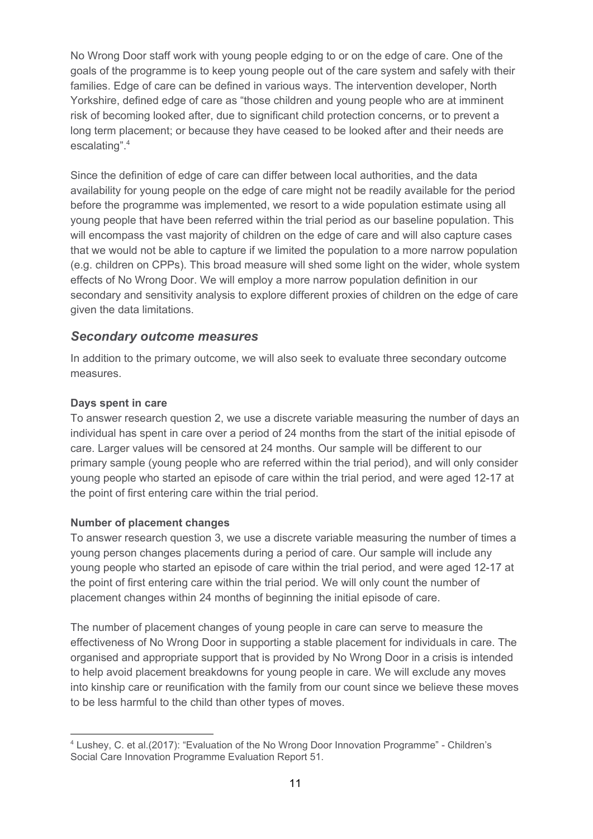No Wrong Door staff work with young people edging to or on the edge of care. One of the goals of the programme is to keep young people out of the care system and safely with their families. Edge of care can be defined in various ways. The intervention developer, North Yorkshire, defined edge of care as "those children and young people who are at imminent risk of becoming looked after, due to significant child protection concerns, or to prevent a long term placement; or because they have ceased to be looked after and their needs are escalating". 4

Since the definition of edge of care can differ between local authorities, and the data availability for young people on the edge of care might not be readily available for the period before the programme was implemented, we resort to a wide population estimate using all young people that have been referred within the trial period as our baseline population. This will encompass the vast majority of children on the edge of care and will also capture cases that we would not be able to capture if we limited the population to a more narrow population (e.g. children on CPPs). This broad measure will shed some light on the wider, whole system effects of No Wrong Door. We will employ a more narrow population definition in our secondary and sensitivity analysis to explore different proxies of children on the edge of care given the data limitations.

#### *Secondary outcome measures*

In addition to the primary outcome, we will also seek to evaluate three secondary outcome measures.

#### **Days spent in care**

To answer research question 2, we use a discrete variable measuring the number of days an individual has spent in care over a period of 24 months from the start of the initial episode of care. Larger values will be censored at 24 months. Our sample will be different to our primary sample (young people who are referred within the trial period), and will only consider young people who started an episode of care within the trial period, and were aged 12-17 at the point of first entering care within the trial period.

#### **Number of placement changes**

To answer research question 3, we use a discrete variable measuring the number of times a young person changes placements during a period of care. Our sample will include any young people who started an episode of care within the trial period, and were aged 12-17 at the point of first entering care within the trial period. We will only count the number of placement changes within 24 months of beginning the initial episode of care.

The number of placement changes of young people in care can serve to measure the effectiveness of No Wrong Door in supporting a stable placement for individuals in care. The organised and appropriate support that is provided by No Wrong Door in a crisis is intended to help avoid placement breakdowns for young people in care. We will exclude any moves into kinship care or reunification with the family from our count since we believe these moves to be less harmful to the child than other types of moves.

<sup>4</sup> Lushey, C. et al.(2017): "Evaluation of the No Wrong Door Innovation Programme" - Children's Social Care Innovation Programme Evaluation Report 51.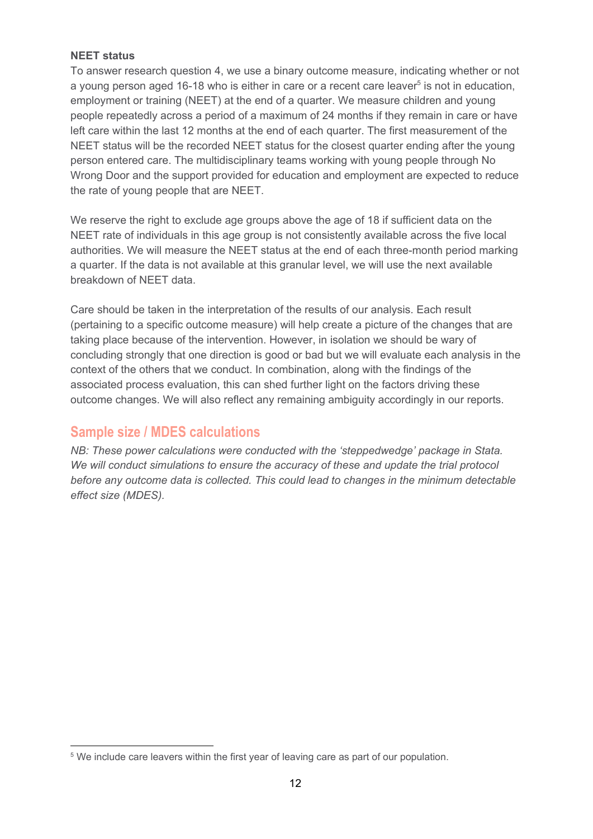#### **NEET status**

To answer research question 4, we use a binary outcome measure, indicating whether or not a young person aged 16-18 who is either in care or a recent care leaver<sup>5</sup> is not in education, employment or training (NEET) at the end of a quarter. We measure children and young people repeatedly across a period of a maximum of 24 months if they remain in care or have left care within the last 12 months at the end of each quarter. The first measurement of the NEET status will be the recorded NEET status for the closest quarter ending after the young person entered care. The multidisciplinary teams working with young people through No Wrong Door and the support provided for education and employment are expected to reduce the rate of young people that are NEET.

We reserve the right to exclude age groups above the age of 18 if sufficient data on the NEET rate of individuals in this age group is not consistently available across the five local authorities. We will measure the NEET status at the end of each three-month period marking a quarter. If the data is not available at this granular level, we will use the next available breakdown of NEET data.

Care should be taken in the interpretation of the results of our analysis. Each result (pertaining to a specific outcome measure) will help create a picture of the changes that are taking place because of the intervention. However, in isolation we should be wary of concluding strongly that one direction is good or bad but we will evaluate each analysis in the context of the others that we conduct. In combination, along with the findings of the associated process evaluation, this can shed further light on the factors driving these outcome changes. We will also reflect any remaining ambiguity accordingly in our reports.

## <span id="page-11-0"></span>**Sample size / MDES calculations**

*NB: These power calculations were conducted with the 'steppedwedge' package in Stata. We will conduct simulations to ensure the accuracy of these and update the trial protocol before any outcome data is collected. This could lead to changes in the minimum detectable effect size (MDES).*

<sup>&</sup>lt;sup>5</sup> We include care leavers within the first year of leaving care as part of our population.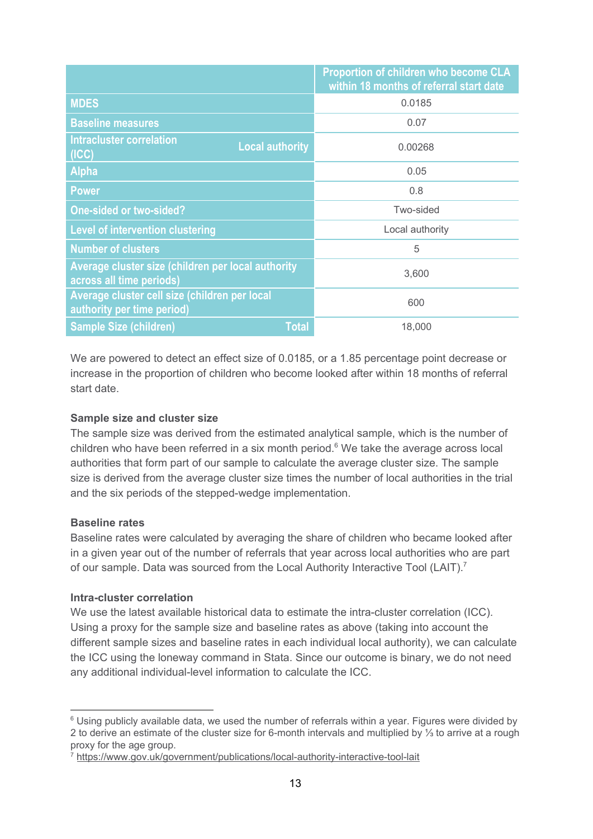|                                                                                | Proportion of children who become CLA<br>within 18 months of referral start date |  |  |
|--------------------------------------------------------------------------------|----------------------------------------------------------------------------------|--|--|
| <b>MDES</b>                                                                    | 0.0185                                                                           |  |  |
| <b>Baseline measures</b>                                                       | 0.07                                                                             |  |  |
| <b>Intracluster correlation</b><br><b>Local authority</b><br>(ICC)             | 0.00268                                                                          |  |  |
| <b>Alpha</b>                                                                   | 0.05                                                                             |  |  |
| <b>Power</b>                                                                   | 0.8                                                                              |  |  |
| <b>One-sided or two-sided?</b>                                                 | Two-sided                                                                        |  |  |
| <b>Level of intervention clustering</b>                                        | Local authority                                                                  |  |  |
| <b>Number of clusters</b>                                                      | 5                                                                                |  |  |
| Average cluster size (children per local authority<br>across all time periods) | 3,600                                                                            |  |  |
| Average cluster cell size (children per local<br>authority per time period)    | 600                                                                              |  |  |
| <b>Total</b><br><b>Sample Size (children)</b>                                  | 18,000                                                                           |  |  |

We are powered to detect an effect size of 0.0185, or a 1.85 percentage point decrease or increase in the proportion of children who become looked after within 18 months of referral start date.

#### **Sample size and cluster size**

The sample size was derived from the estimated analytical sample, which is the number of children who have been referred in a six month period. $6$  We take the average across local authorities that form part of our sample to calculate the average cluster size. The sample size is derived from the average cluster size times the number of local authorities in the trial and the six periods of the stepped-wedge implementation.

#### **Baseline rates**

Baseline rates were calculated by averaging the share of children who became looked after in a given year out of the number of referrals that year across local authorities who are part of our sample. Data was sourced from the Local Authority Interactive Tool (LAIT).<sup>7</sup>

#### **Intra-cluster correlation**

We use the latest available historical data to estimate the intra-cluster correlation (ICC). Using a proxy for the sample size and baseline rates as above (taking into account the different sample sizes and baseline rates in each individual local authority), we can calculate the ICC using the loneway command in Stata. Since our outcome is binary, we do not need any additional individual-level information to calculate the ICC.

<sup>&</sup>lt;sup>6</sup> Using publicly available data, we used the number of referrals within a year. Figures were divided by 2 to derive an estimate of the cluster size for 6-month intervals and multiplied by ⅓ to arrive at a rough proxy for the age group.

<sup>&</sup>lt;sup>7</sup> <https://www.gov.uk/government/publications/local-authority-interactive-tool-lait>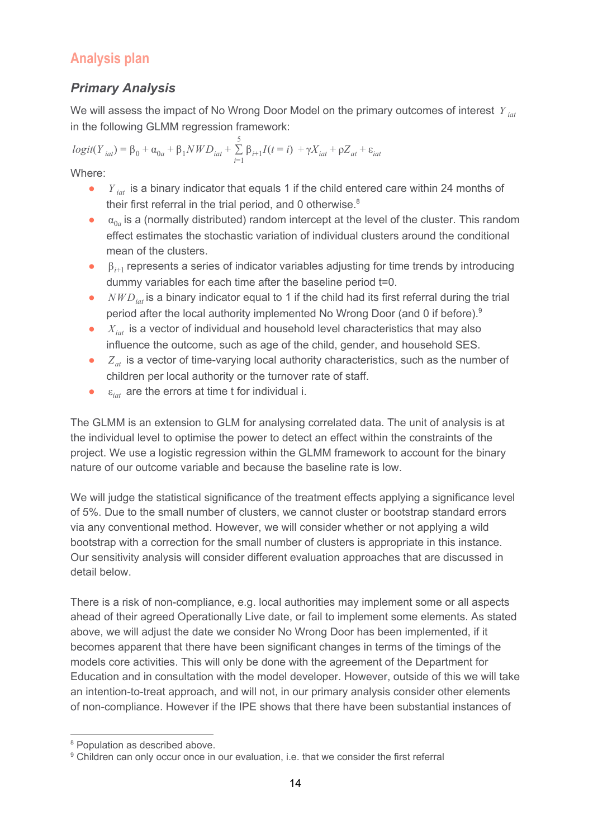# <span id="page-13-0"></span>**Analysis plan**

## *Primary Analysis*

We will assess the impact of No Wrong Door Model on the primary outcomes of interest *Y iat* in the following GLMM regression framework:

 $logit(Y_{iat}) = \beta_0 + \alpha_{0a} + \beta_1 NWD_{iat} + \sum_{i=1}^{5} \beta_{i+1} I(t = i) + \gamma X_{iat} + \rho Z_{at}$  $\sum_{i=1}$   $\beta_{i+1} I(t = i) + \gamma X_{iat} + \rho Z_{at} + \varepsilon_{iat}$ 

Where:

- *Y*<sub>iat</sub> is a binary indicator that equals 1 if the child entered care within 24 months of their first referral in the trial period, and 0 otherwise. $8$
- $\bullet$   $\alpha_{0a}$  is a (normally distributed) random intercept at the level of the cluster. This random effect estimates the stochastic variation of individual clusters around the conditional mean of the clusters.
- **■** β<sub>*i*+1</sub> represents a series of indicator variables adjusting for time trends by introducing dummy variables for each time after the baseline period t=0.
- *NWD<sub>iat</sub>* is a binary indicator equal to 1 if the child had its first referral during the trial period after the local authority implemented No Wrong Door (and 0 if before).<sup>9</sup>
- *X*<sub>iat</sub> is a vector of individual and household level characteristics that may also influence the outcome, such as age of the child, gender, and household SES.
- $\bullet$  *Z<sub>at</sub>* is a vector of time-varying local authority characteristics, such as the number of children per local authority or the turnover rate of staff.
- $\bullet$   $\varepsilon_{\text{int}}$  are the errors at time t for individual i.

The GLMM is an extension to GLM for analysing correlated data. The unit of analysis is at the individual level to optimise the power to detect an effect within the constraints of the project. We use a logistic regression within the GLMM framework to account for the binary nature of our outcome variable and because the baseline rate is low.

We will judge the statistical significance of the treatment effects applying a significance level of 5%. Due to the small number of clusters, we cannot cluster or bootstrap standard errors via any conventional method. However, we will consider whether or not applying a wild bootstrap with a correction for the small number of clusters is appropriate in this instance. Our sensitivity analysis will consider different evaluation approaches that are discussed in detail below.

There is a risk of non-compliance, e.g. local authorities may implement some or all aspects ahead of their agreed Operationally Live date, or fail to implement some elements. As stated above, we will adjust the date we consider No Wrong Door has been implemented, if it becomes apparent that there have been significant changes in terms of the timings of the models core activities. This will only be done with the agreement of the Department for Education and in consultation with the model developer. However, outside of this we will take an intention-to-treat approach, and will not, in our primary analysis consider other elements of non-compliance. However if the IPE shows that there have been substantial instances of

<sup>&</sup>lt;sup>8</sup> Population as described above.

<sup>&</sup>lt;sup>9</sup> Children can only occur once in our evaluation, i.e. that we consider the first referral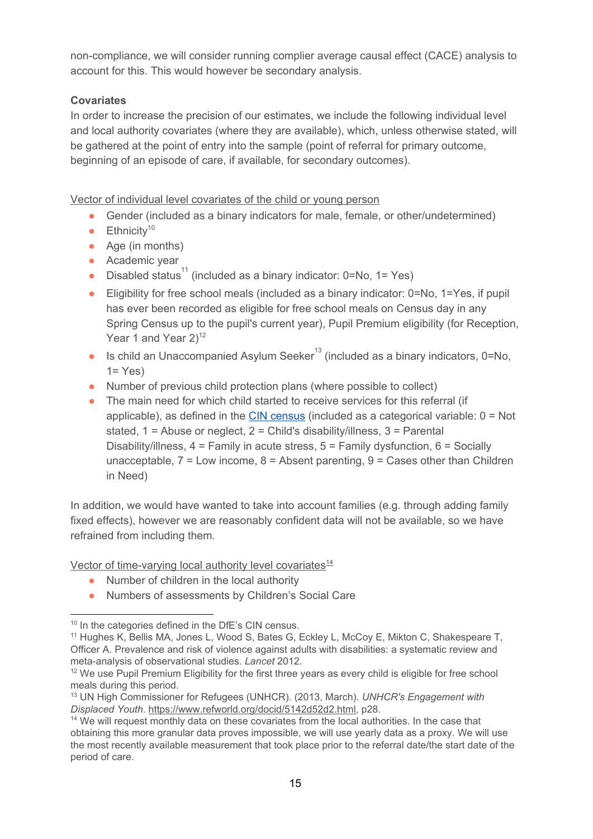non-compliance, we will consider running complier average causal effect (CACE) analysis to account for this. This would however be secondary analysis.

#### **Covariates**

In order to increase the precision of our estimates, we include the following individual level and local authority covariates (where they are available), which, unless otherwise stated, will be gathered at the point of entry into the sample (point of referral for primary outcome, beginning of an episode of care, if available, for secondary outcomes).

Vector of individual level covariates of the child or young person

- Gender (included as a binary indicators for male, female, or other/undetermined)
- $\bullet$  Ethnicity<sup>10</sup>
- Age (in months)
- Academic year
- Disabled status<sup>11</sup> (included as a binary indicator:  $0=No$ ,  $1=Yes$ )
- Eligibility for free school meals (included as a binary indicator: 0=No, 1=Yes, if pupil has ever been recorded as eligible for free school meals on Census day in any Spring Census up to the pupil's current year), Pupil Premium eligibility (for Reception, Year 1 and Year  $2)^{12}$
- Is child an Unaccompanied Asylum Seeker<sup>13</sup> (included as a binary indicators, 0=No,  $1 = Yes$
- Number of previous child protection plans (where possible to collect)
- The main need for which child started to receive services for this referral (if applicable), as defined in the CIN [census](https://assets.publishing.service.gov.uk/government/uploads/system/uploads/attachment_data/file/744185/CIN18-19_Guide_v1.2.pdf) (included as a categorical variable:  $0 = Not$ stated,  $1 =$  Abuse or neglect,  $2 =$  Child's disability/illness,  $3 =$  Parental Disability/illness, 4 = Family in acute stress, 5 = Family dysfunction, 6 = Socially unacceptable,  $7 =$  Low income,  $8 =$  Absent parenting,  $9 =$  Cases other than Children in Need)

In addition, we would have wanted to take into account families (e.g. through adding family fixed effects), however we are reasonably confident data will not be available, so we have refrained from including them.

Vector of time-varying local authority level covariates<sup>14</sup>

- Number of children in the local authority
- Numbers of assessments by Children's Social Care

<sup>&</sup>lt;sup>10</sup> In the categories defined in the DfE's CIN census.

<sup>&</sup>lt;sup>11</sup> Hughes K, Bellis MA, Jones L, Wood S, Bates G, Eckley L, McCoy E, Mikton C, Shakespeare T, Officer A. Prevalence and risk of violence against adults with disabilities: a systematic review and meta-analysis of observational studies. *Lancet* 2012.

<sup>&</sup>lt;sup>12</sup> We use Pupil Premium Eligibility for the first three years as every child is eligible for free school meals during this period.

<sup>13</sup> UN High Commissioner for Refugees (UNHCR). (2013, March). *UNHCR's Engagement with Displaced Youth*. [https://www.refworld.org/docid/5142d52d2.html,](https://www.refworld.org/docid/5142d52d2.html) p28.

<sup>&</sup>lt;sup>14</sup> We will request monthly data on these covariates from the local authorities. In the case that obtaining this more granular data proves impossible, we will use yearly data as a proxy. We will use the most recently available measurement that took place prior to the referral date/the start date of the period of care.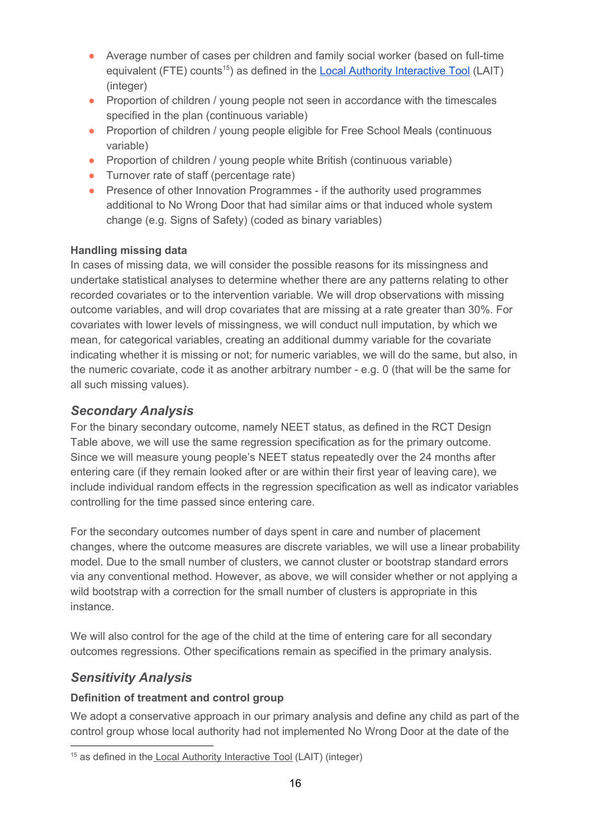- Average number of cases per children and family social worker (based on full-time equivalent (FTE) counts<sup>15</sup>) as defined in the Local Authority [Interactive](https://www.gov.uk/government/publications/local-authority-interactive-tool-lait) Tool (LAIT) (integer)
- Proportion of children / young people not seen in accordance with the timescales specified in the plan (continuous variable)
- Proportion of children / young people eligible for Free School Meals (continuous variable)
- Proportion of children / young people white British (continuous variable)
- Turnover rate of staff (percentage rate)
- Presence of other Innovation Programmes if the authority used programmes additional to No Wrong Door that had similar aims or that induced whole system change (e.g. Signs of Safety) (coded as binary variables)

#### **Handling missing data**

In cases of missing data, we will consider the possible reasons for its missingness and undertake statistical analyses to determine whether there are any patterns relating to other recorded covariates or to the intervention variable. We will drop observations with missing outcome variables, and will drop covariates that are missing at a rate greater than 30%. For covariates with lower levels of missingness, we will conduct null imputation, by which we mean, for categorical variables, creating an additional dummy variable for the covariate indicating whether it is missing or not; for numeric variables, we will do the same, but also, in the numeric covariate, code it as another arbitrary number - e.g. 0 (that will be the same for all such missing values).

## *Secondary Analysis*

For the binary secondary outcome, namely NEET status, as defined in the RCT Design Table above, we will use the same regression specification as for the primary outcome. Since we will measure young people's NEET status repeatedly over the 24 months after entering care (if they remain looked after or are within their first year of leaving care), we include individual random effects in the regression specification as well as indicator variables controlling for the time passed since entering care.

For the secondary outcomes number of days spent in care and number of placement changes, where the outcome measures are discrete variables, we will use a linear probability model. Due to the small number of clusters, we cannot cluster or bootstrap standard errors via any conventional method. However, as above, we will consider whether or not applying a wild bootstrap with a correction for the small number of clusters is appropriate in this instance.

We will also control for the age of the child at the time of entering care for all secondary outcomes regressions. Other specifications remain as specified in the primary analysis.

## *Sensitivity Analysis*

#### **Definition of treatment and control group**

We adopt a conservative approach in our primary analysis and define any child as part of the control group whose local authority had not implemented No Wrong Door at the date of the

<sup>&</sup>lt;sup>15</sup> as defined in the Local Authority [Interactive](https://www.gov.uk/government/publications/local-authority-interactive-tool-lait) Tool (LAIT) (integer)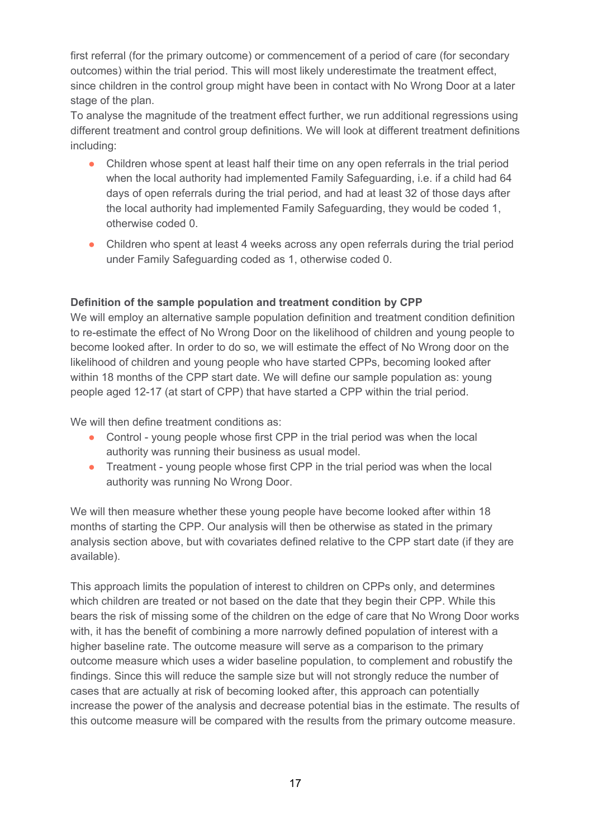first referral (for the primary outcome) or commencement of a period of care (for secondary outcomes) within the trial period. This will most likely underestimate the treatment effect, since children in the control group might have been in contact with No Wrong Door at a later stage of the plan.

To analyse the magnitude of the treatment effect further, we run additional regressions using different treatment and control group definitions. We will look at different treatment definitions including:

- Children whose spent at least half their time on any open referrals in the trial period when the local authority had implemented Family Safeguarding, i.e. if a child had 64 days of open referrals during the trial period, and had at least 32 of those days after the local authority had implemented Family Safeguarding, they would be coded 1, otherwise coded 0.
- Children who spent at least 4 weeks across any open referrals during the trial period under Family Safeguarding coded as 1, otherwise coded 0.

#### **Definition of the sample population and treatment condition by CPP**

We will employ an alternative sample population definition and treatment condition definition to re-estimate the effect of No Wrong Door on the likelihood of children and young people to become looked after. In order to do so, we will estimate the effect of No Wrong door on the likelihood of children and young people who have started CPPs, becoming looked after within 18 months of the CPP start date. We will define our sample population as: young people aged 12-17 (at start of CPP) that have started a CPP within the trial period.

We will then define treatment conditions as:

- Control young people whose first CPP in the trial period was when the local authority was running their business as usual model.
- Treatment young people whose first CPP in the trial period was when the local authority was running No Wrong Door.

We will then measure whether these young people have become looked after within 18 months of starting the CPP. Our analysis will then be otherwise as stated in the primary analysis section above, but with covariates defined relative to the CPP start date (if they are available).

This approach limits the population of interest to children on CPPs only, and determines which children are treated or not based on the date that they begin their CPP. While this bears the risk of missing some of the children on the edge of care that No Wrong Door works with, it has the benefit of combining a more narrowly defined population of interest with a higher baseline rate. The outcome measure will serve as a comparison to the primary outcome measure which uses a wider baseline population, to complement and robustify the findings. Since this will reduce the sample size but will not strongly reduce the number of cases that are actually at risk of becoming looked after, this approach can potentially increase the power of the analysis and decrease potential bias in the estimate. The results of this outcome measure will be compared with the results from the primary outcome measure.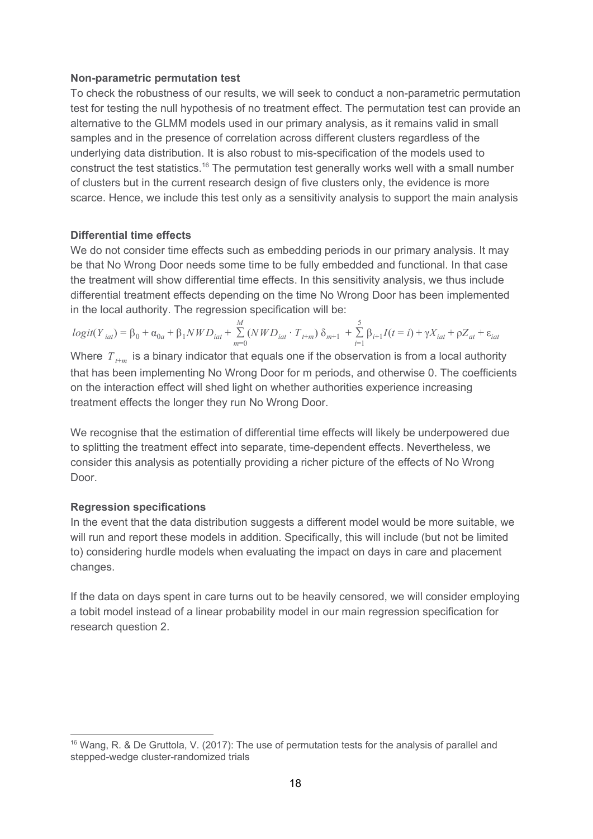#### **Non-parametric permutation test**

To check the robustness of our results, we will seek to conduct a non-parametric permutation test for testing the null hypothesis of no treatment effect. The permutation test can provide an alternative to the GLMM models used in our primary analysis, as it remains valid in small samples and in the presence of correlation across different clusters regardless of the underlying data distribution. It is also robust to mis-specification of the models used to construct the test statistics.<sup>16</sup> The permutation test generally works well with a small number of clusters but in the current research design of five clusters only, the evidence is more scarce. Hence, we include this test only as a sensitivity analysis to support the main analysis

#### **Differential time effects**

We do not consider time effects such as embedding periods in our primary analysis. It may be that No Wrong Door needs some time to be fully embedded and functional. In that case the treatment will show differential time effects. In this sensitivity analysis, we thus include differential treatment effects depending on the time No Wrong Door has been implemented in the local authority. The regression specification will be:

$$
logit(Y_{iat}) = \beta_0 + \alpha_{0a} + \beta_1 NWD_{iat} + \sum_{m=0}^{M} (NWD_{iat} \cdot T_{t+m}) \delta_{m+1} + \sum_{i=1}^{5} \beta_{i+1} I(t=i) + \gamma X_{iat} + \rho Z_{at} + \varepsilon_{iat}
$$

Where  $T_{t+m}$  is a binary indicator that equals one if the observation is from a local authority that has been implementing No Wrong Door for m periods, and otherwise 0. The coefficients on the interaction effect will shed light on whether authorities experience increasing treatment effects the longer they run No Wrong Door.

We recognise that the estimation of differential time effects will likely be underpowered due to splitting the treatment effect into separate, time-dependent effects. Nevertheless, we consider this analysis as potentially providing a richer picture of the effects of No Wrong Door.

#### **Regression specifications**

In the event that the data distribution suggests a different model would be more suitable, we will run and report these models in addition. Specifically, this will include (but not be limited to) considering hurdle models when evaluating the impact on days in care and placement changes.

If the data on days spent in care turns out to be heavily censored, we will consider employing a tobit model instead of a linear probability model in our main regression specification for research question 2.

<sup>&</sup>lt;sup>16</sup> Wang, R. & De Gruttola, V. (2017): The use of permutation tests for the analysis of parallel and stepped-wedge cluster-randomized trials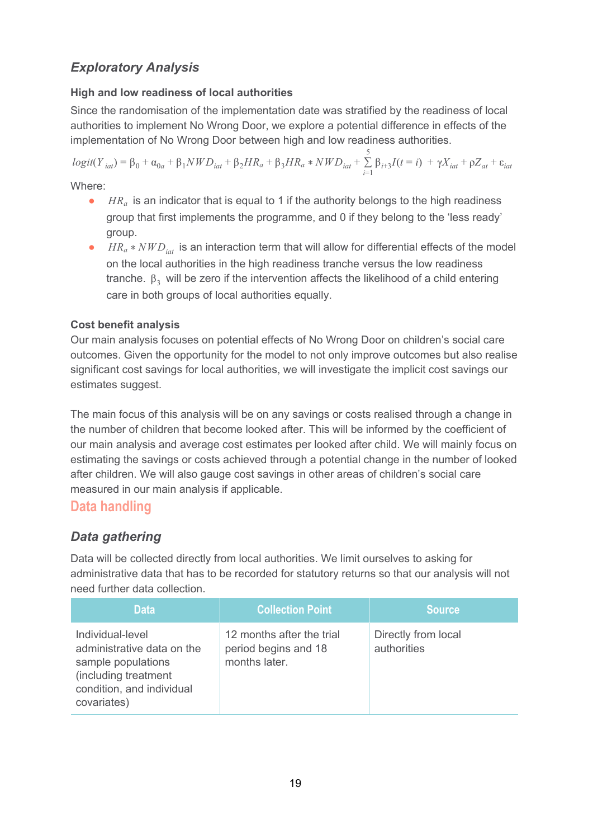## *Exploratory Analysis*

## **High and low readiness of local authorities**

Since the randomisation of the implementation date was stratified by the readiness of local authorities to implement No Wrong Door, we explore a potential difference in effects of the implementation of No Wrong Door between high and low readiness authorities.

 $logit(Y_{iat}) = \beta_0 + \alpha_{0a} + \beta_1 NWD_{iat} + \beta_2 HR_a + \beta_3 HR_a * NWD_{iat} + \sum_{i=1}^{5} \beta_{i+3} I(t = i)$  $\sum_{i=1}$   $\beta_{i+3} I(t = i) + \gamma X_{iat} + \rho Z_{at} + \varepsilon_{iat}$ 

Where:

- *HR<sub>a</sub>* is an indicator that is equal to 1 if the authority belongs to the high readiness group that first implements the programme, and 0 if they belong to the 'less ready' group.
- *HR<sub>a</sub>* \* *NWD*<sub>iat</sub> is an interaction term that will allow for differential effects of the model on the local authorities in the high readiness tranche versus the low readiness tranche.  $β_3$  will be zero if the intervention affects the likelihood of a child entering care in both groups of local authorities equally.

## **Cost benefit analysis**

Our main analysis focuses on potential effects of No Wrong Door on children's social care outcomes. Given the opportunity for the model to not only improve outcomes but also realise significant cost savings for local authorities, we will investigate the implicit cost savings our estimates suggest.

The main focus of this analysis will be on any savings or costs realised through a change in the number of children that become looked after. This will be informed by the coefficient of our main analysis and average cost estimates per looked after child. We will mainly focus on estimating the savings or costs achieved through a potential change in the number of looked after children. We will also gauge cost savings in other areas of children's social care measured in our main analysis if applicable.

## <span id="page-18-0"></span>**Data handling**

## *Data gathering*

Data will be collected directly from local authorities. We limit ourselves to asking for administrative data that has to be recorded for statutory returns so that our analysis will not need further data collection.

| <b>Data</b>                                                                                                                              | <b>Collection Point</b>                                            | <b>Source</b>                      |
|------------------------------------------------------------------------------------------------------------------------------------------|--------------------------------------------------------------------|------------------------------------|
| Individual-level<br>administrative data on the<br>sample populations<br>(including treatment<br>condition, and individual<br>covariates) | 12 months after the trial<br>period begins and 18<br>months later. | Directly from local<br>authorities |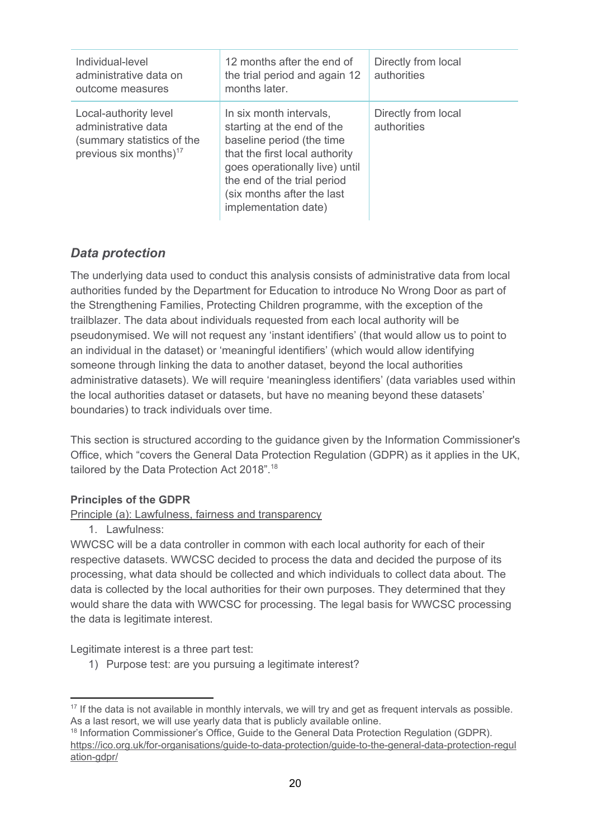| Individual-level<br>administrative data on<br>outcome measures                                                   | 12 months after the end of<br>the trial period and again 12<br>months later.                                                                                                                                                                | Directly from local<br>authorities |
|------------------------------------------------------------------------------------------------------------------|---------------------------------------------------------------------------------------------------------------------------------------------------------------------------------------------------------------------------------------------|------------------------------------|
| Local-authority level<br>administrative data<br>(summary statistics of the<br>previous six months) <sup>17</sup> | In six month intervals,<br>starting at the end of the<br>baseline period (the time<br>that the first local authority<br>goes operationally live) until<br>the end of the trial period<br>(six months after the last<br>implementation date) | Directly from local<br>authorities |

## *Data protection*

The underlying data used to conduct this analysis consists of administrative data from local authorities funded by the Department for Education to introduce No Wrong Door as part of the Strengthening Families, Protecting Children programme, with the exception of the trailblazer. The data about individuals requested from each local authority will be pseudonymised. We will not request any 'instant identifiers' (that would allow us to point to an individual in the dataset) or 'meaningful identifiers' (which would allow identifying someone through linking the data to another dataset, beyond the local authorities administrative datasets). We will require 'meaningless identifiers' (data variables used within the local authorities dataset or datasets, but have no meaning beyond these datasets' boundaries) to track individuals over time.

This section is structured according to the guidance given by the Information Commissioner's Office, which "covers the General Data Protection Regulation (GDPR) as it applies in the UK, tailored by the Data Protection Act 2018".<sup>18</sup>

## **Principles of the GDPR**

#### Principle (a): Lawfulness, fairness and transparency

1. Lawfulness:

WWCSC will be a data controller in common with each local authority for each of their respective datasets. WWCSC decided to process the data and decided the purpose of its processing, what data should be collected and which individuals to collect data about. The data is collected by the local authorities for their own purposes. They determined that they would share the data with WWCSC for processing. The legal basis for WWCSC processing the data is legitimate interest.

Legitimate interest is a three part test:

1) Purpose test: are you pursuing a legitimate interest?

<sup>&</sup>lt;sup>17</sup> If the data is not available in monthly intervals, we will try and get as frequent intervals as possible. As a last resort, we will use yearly data that is publicly available online.

<sup>&</sup>lt;sup>18</sup> Information Commissioner's Office, Guide to the General Data Protection Regulation (GDPR). [https://ico.org.uk/for-organisations/guide-to-data-protection/guide-to-the-general-data-protection-regul](https://ico.org.uk/for-organisations/guide-to-data-protection/guide-to-the-general-data-protection-regulation-gdpr/) [ation-gdpr/](https://ico.org.uk/for-organisations/guide-to-data-protection/guide-to-the-general-data-protection-regulation-gdpr/)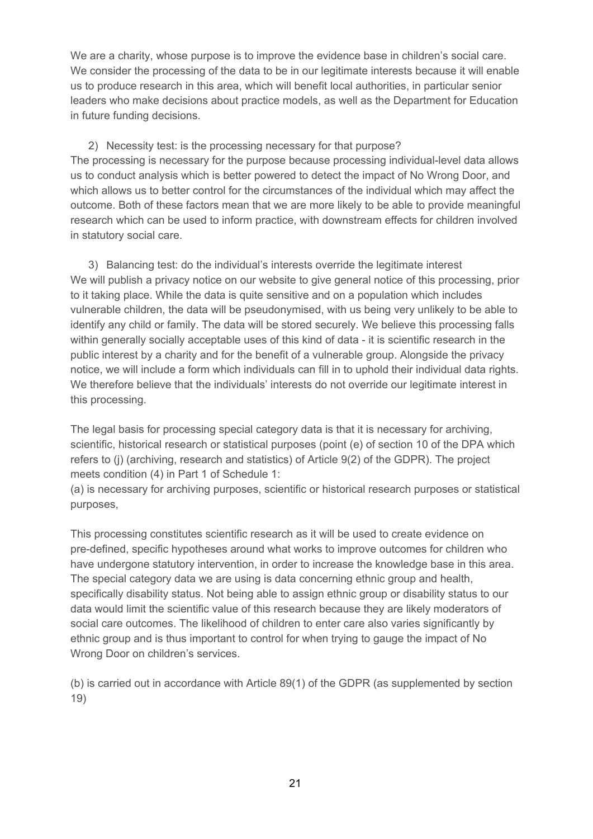We are a charity, whose purpose is to improve the evidence base in children's social care. We consider the processing of the data to be in our legitimate interests because it will enable us to produce research in this area, which will benefit local authorities, in particular senior leaders who make decisions about practice models, as well as the Department for Education in future funding decisions.

2) Necessity test: is the processing necessary for that purpose? The processing is necessary for the purpose because processing individual-level data allows us to conduct analysis which is better powered to detect the impact of No Wrong Door, and which allows us to better control for the circumstances of the individual which may affect the outcome. Both of these factors mean that we are more likely to be able to provide meaningful research which can be used to inform practice, with downstream effects for children involved in statutory social care.

3) Balancing test: do the individual's interests override the legitimate interest We will publish a privacy notice on our website to give general notice of this processing, prior to it taking place. While the data is quite sensitive and on a population which includes vulnerable children, the data will be pseudonymised, with us being very unlikely to be able to identify any child or family. The data will be stored securely. We believe this processing falls within generally socially acceptable uses of this kind of data - it is scientific research in the public interest by a charity and for the benefit of a vulnerable group. Alongside the privacy notice, we will include a form which individuals can fill in to uphold their individual data rights. We therefore believe that the individuals' interests do not override our legitimate interest in this processing.

The legal basis for processing special category data is that it is necessary for archiving, scientific, historical research or statistical purposes (point (e) of section 10 of the DPA which refers to (j) (archiving, research and statistics) of Article 9(2) of the GDPR). The project meets condition (4) in Part 1 of Schedule 1:

(a) is necessary for archiving purposes, scientific or historical research purposes or statistical purposes,

This processing constitutes scientific research as it will be used to create evidence on pre-defined, specific hypotheses around what works to improve outcomes for children who have undergone statutory intervention, in order to increase the knowledge base in this area. The special category data we are using is data concerning ethnic group and health, specifically disability status. Not being able to assign ethnic group or disability status to our data would limit the scientific value of this research because they are likely moderators of social care outcomes. The likelihood of children to enter care also varies significantly by ethnic group and is thus important to control for when trying to gauge the impact of No Wrong Door on children's services.

(b) is carried out in accordance with Article 89(1) of the GDPR (as supplemented by section 19)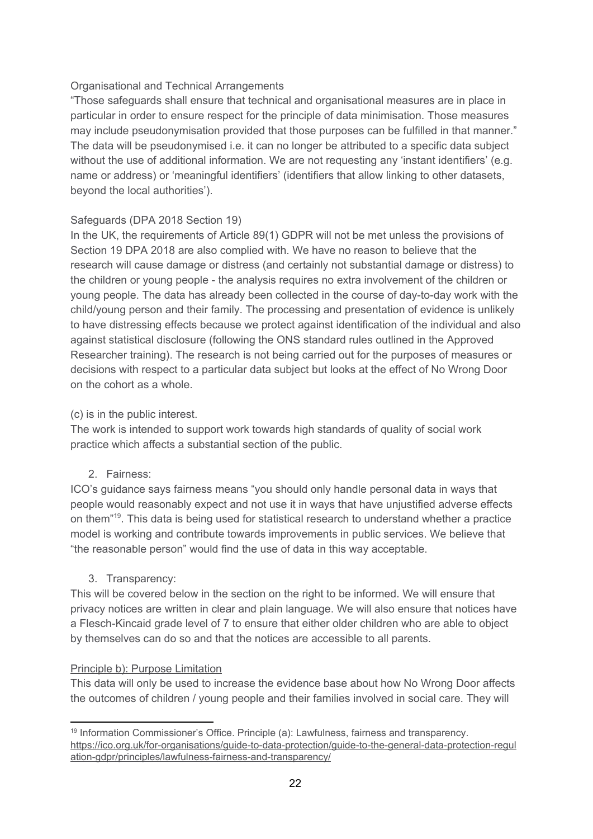#### Organisational and Technical Arrangements

"Those safeguards shall ensure that technical and organisational measures are in place in particular in order to ensure respect for the principle of data minimisation. Those measures may include pseudonymisation provided that those purposes can be fulfilled in that manner." The data will be pseudonymised i.e. it can no longer be attributed to a specific data subject without the use of additional information. We are not requesting any 'instant identifiers' (e.g. name or address) or 'meaningful identifiers' (identifiers that allow linking to other datasets, beyond the local authorities').

#### Safeguards (DPA 2018 Section 19)

In the UK, the requirements of Article 89(1) GDPR will not be met unless the provisions of Section 19 DPA 2018 are also complied with. We have no reason to believe that the research will cause damage or distress (and certainly not substantial damage or distress) to the children or young people - the analysis requires no extra involvement of the children or young people. The data has already been collected in the course of day-to-day work with the child/young person and their family. The processing and presentation of evidence is unlikely to have distressing effects because we protect against identification of the individual and also against statistical disclosure (following the ONS standard rules outlined in the Approved Researcher training). The research is not being carried out for the purposes of measures or decisions with respect to a particular data subject but looks at the effect of No Wrong Door on the cohort as a whole.

#### (c) is in the public interest.

The work is intended to support work towards high standards of quality of social work practice which affects a substantial section of the public.

2. Fairness:

ICO's guidance says fairness means "you should only handle personal data in ways that people would reasonably expect and not use it in ways that have unjustified adverse effects on them<sup>"19</sup>. This data is being used for statistical research to understand whether a practice model is working and contribute towards improvements in public services. We believe that "the reasonable person" would find the use of data in this way acceptable.

#### 3. Transparency:

This will be covered below in the section on the right to be informed. We will ensure that privacy notices are written in clear and plain language. We will also ensure that notices have a Flesch-Kincaid grade level of 7 to ensure that either older children who are able to object by themselves can do so and that the notices are accessible to all parents.

#### Principle b): Purpose Limitation

This data will only be used to increase the evidence base about how No Wrong Door affects the outcomes of children / young people and their families involved in social care. They will

<sup>&</sup>lt;sup>19</sup> Information Commissioner's Office. Principle (a): Lawfulness, fairness and transparency. [https://ico.org.uk/for-organisations/guide-to-data-protection/guide-to-the-general-data-protection-regul](https://ico.org.uk/for-organisations/guide-to-data-protection/guide-to-the-general-data-protection-regulation-gdpr/principles/lawfulness-fairness-and-transparency/) [ation-gdpr/principles/lawfulness-fairness-and-transparency/](https://ico.org.uk/for-organisations/guide-to-data-protection/guide-to-the-general-data-protection-regulation-gdpr/principles/lawfulness-fairness-and-transparency/)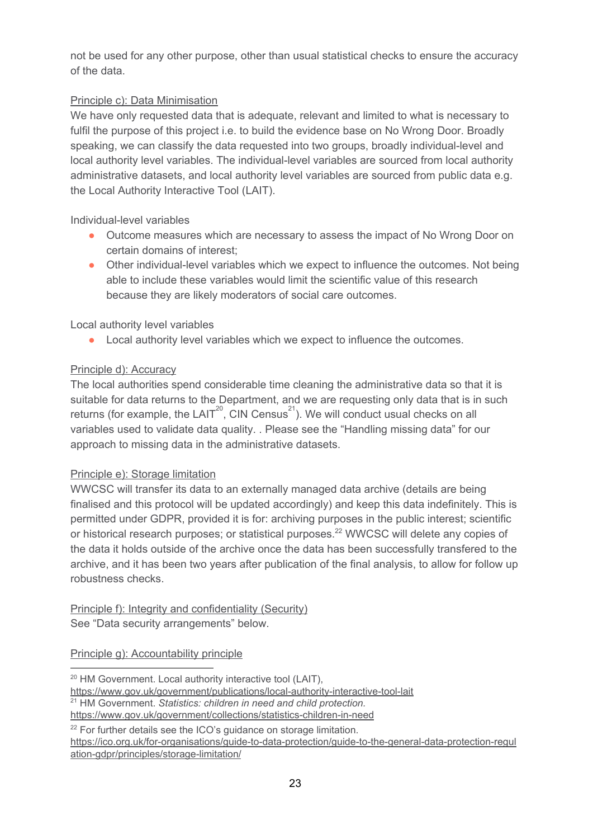not be used for any other purpose, other than usual statistical checks to ensure the accuracy of the data.

## Principle c): Data Minimisation

We have only requested data that is adequate, relevant and limited to what is necessary to fulfil the purpose of this project i.e. to build the evidence base on No Wrong Door. Broadly speaking, we can classify the data requested into two groups, broadly individual-level and local authority level variables. The individual-level variables are sourced from local authority administrative datasets, and local authority level variables are sourced from public data e.g. the Local Authority Interactive Tool (LAIT).

Individual-level variables

- Outcome measures which are necessary to assess the impact of No Wrong Door on certain domains of interest;
- Other individual-level variables which we expect to influence the outcomes. Not being able to include these variables would limit the scientific value of this research because they are likely moderators of social care outcomes.

Local authority level variables

● Local authority level variables which we expect to influence the outcomes.

## Principle d): Accuracy

The local authorities spend considerable time cleaning the administrative data so that it is suitable for data returns to the Department, and we are requesting only data that is in such returns (for example, the LAIT<sup>20</sup>, CIN Census<sup>21</sup>). We will conduct usual checks on all variables used to validate data quality. . Please see the "Handling missing data" for our approach to missing data in the administrative datasets.

#### Principle e): Storage limitation

WWCSC will transfer its data to an externally managed data archive (details are being finalised and this protocol will be updated accordingly) and keep this data indefinitely. This is permitted under GDPR, provided it is for: archiving purposes in the public interest; scientific or historical research purposes; or statistical purposes.<sup>22</sup> WWCSC will delete any copies of the data it holds outside of the archive once the data has been successfully transfered to the archive, and it has been two years after publication of the final analysis, to allow for follow up robustness checks.

Principle f): Integrity and confidentiality (Security) See "Data security arrangements" below.

Principle g): Accountability principle

<sup>&</sup>lt;sup>20</sup> HM Government. Local authority interactive tool (LAIT),

<https://www.gov.uk/government/publications/local-authority-interactive-tool-lait>

<sup>21</sup> HM Government. *Statistics: children in need and child protection.*

<https://www.gov.uk/government/collections/statistics-children-in-need>

<sup>&</sup>lt;sup>22</sup> For further details see the ICO's guidance on storage limitation.

[https://ico.org.uk/for-organisations/guide-to-data-protection/guide-to-the-general-data-protection-regul](https://ico.org.uk/for-organisations/guide-to-data-protection/guide-to-the-general-data-protection-regulation-gdpr/principles/storage-limitation/) [ation-gdpr/principles/storage-limitation/](https://ico.org.uk/for-organisations/guide-to-data-protection/guide-to-the-general-data-protection-regulation-gdpr/principles/storage-limitation/)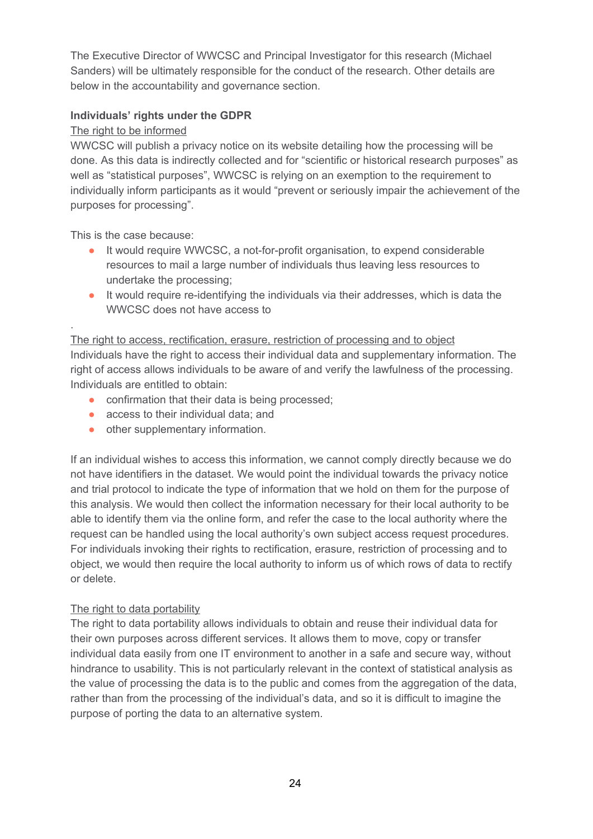The Executive Director of WWCSC and Principal Investigator for this research (Michael Sanders) will be ultimately responsible for the conduct of the research. Other details are below in the accountability and governance section.

#### **Individuals' rights under the GDPR**

#### The right to be informed

WWCSC will publish a privacy notice on its website detailing how the processing will be done. As this data is indirectly collected and for "scientific or historical research purposes" as well as "statistical purposes", WWCSC is relying on an exemption to the requirement to individually inform participants as it would "prevent or seriously impair the achievement of the purposes for processing".

This is the case because:

.

- It would require WWCSC, a not-for-profit organisation, to expend considerable resources to mail a large number of individuals thus leaving less resources to undertake the processing;
- It would require re-identifying the individuals via their addresses, which is data the WWCSC does not have access to

#### The right to access, rectification, erasure, restriction of processing and to object Individuals have the right to access their individual data and supplementary information. The

right of access allows individuals to be aware of and verify the lawfulness of the processing. Individuals are entitled to obtain:

- confirmation that their data is being processed;
- access to their individual data; and
- other supplementary information.

If an individual wishes to access this information, we cannot comply directly because we do not have identifiers in the dataset. We would point the individual towards the privacy notice and trial protocol to indicate the type of information that we hold on them for the purpose of this analysis. We would then collect the information necessary for their local authority to be able to identify them via the online form, and refer the case to the local authority where the request can be handled using the local authority's own subject access request procedures. For individuals invoking their rights to rectification, erasure, restriction of processing and to object, we would then require the local authority to inform us of which rows of data to rectify or delete.

## The right to data portability

The right to data portability allows individuals to obtain and reuse their individual data for their own purposes across different services. It allows them to move, copy or transfer individual data easily from one IT environment to another in a safe and secure way, without hindrance to usability. This is not particularly relevant in the context of statistical analysis as the value of processing the data is to the public and comes from the aggregation of the data, rather than from the processing of the individual's data, and so it is difficult to imagine the purpose of porting the data to an alternative system.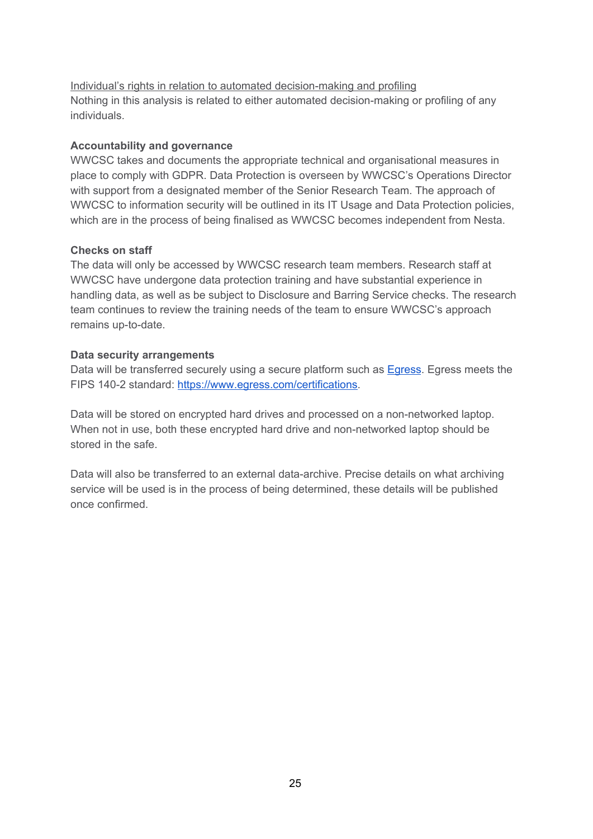Individual's rights in relation to automated decision-making and profiling Nothing in this analysis is related to either automated decision-making or profiling of any individuals.

#### **Accountability and governance**

WWCSC takes and documents the appropriate technical and organisational measures in place to comply with GDPR. Data Protection is overseen by WWCSC's Operations Director with support from a designated member of the Senior Research Team. The approach of WWCSC to information security will be outlined in its IT Usage and Data Protection policies, which are in the process of being finalised as WWCSC becomes independent from Nesta.

#### **Checks on staff**

The data will only be accessed by WWCSC research team members. Research staff at WWCSC have undergone data protection training and have substantial experience in handling data, as well as be subject to Disclosure and Barring Service checks. The research team continues to review the training needs of the team to ensure WWCSC's approach remains up-to-date.

#### **Data security arrangements**

Data will be transferred securely using a secure platform such as **[Egress](https://www.egress.com/)**. Egress meets the FIPS 140-2 standard: [https://www.egress.com/certifications.](https://www.egress.com/certifications)

Data will be stored on encrypted hard drives and processed on a non-networked laptop. When not in use, both these encrypted hard drive and non-networked laptop should be stored in the safe.

Data will also be transferred to an external data-archive. Precise details on what archiving service will be used is in the process of being determined, these details will be published once confirmed.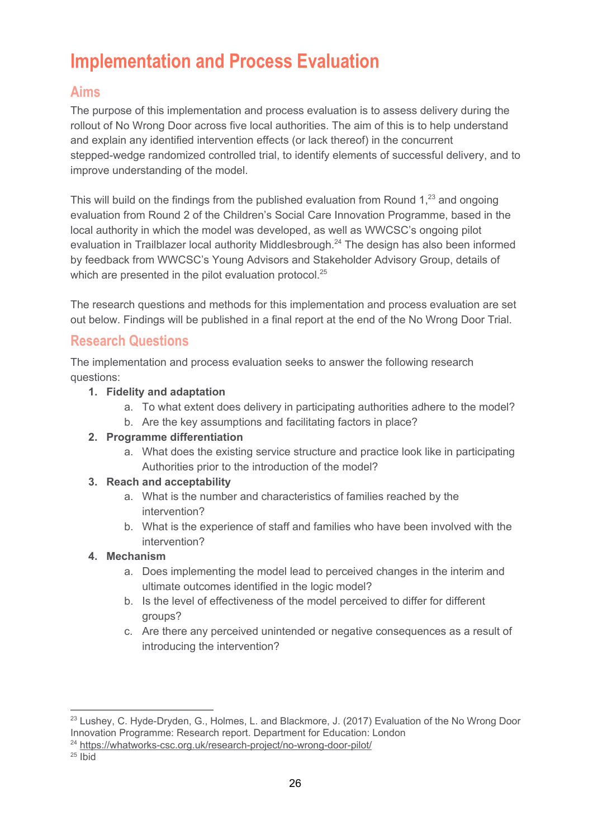# <span id="page-25-0"></span>**Implementation and Process Evaluation**

## <span id="page-25-1"></span>**Aims**

The purpose of this implementation and process evaluation is to assess delivery during the rollout of No Wrong Door across five local authorities. The aim of this is to help understand and explain any identified intervention effects (or lack thereof) in the concurrent stepped-wedge randomized controlled trial, to identify elements of successful delivery, and to improve understanding of the model.

This will build on the findings from the published evaluation from Round  $1<sup>23</sup>$  and ongoing evaluation from Round 2 of the Children's Social Care Innovation Programme, based in the local authority in which the model was developed, as well as WWCSC's ongoing pilot evaluation in Trailblazer local authority Middlesbrough. $^{24}$  The design has also been informed by feedback from WWCSC's Young Advisors and Stakeholder Advisory Group, details of which are presented in the pilot evaluation protocol.<sup>25</sup>

The research questions and methods for this implementation and process evaluation are set out below. Findings will be published in a final report at the end of the No Wrong Door Trial.

# <span id="page-25-2"></span>**Research Questions**

The implementation and process evaluation seeks to answer the following research questions:

## **1. Fidelity and adaptation**

- a. To what extent does delivery in participating authorities adhere to the model?
- b. Are the key assumptions and facilitating factors in place?

## **2. Programme differentiation**

a. What does the existing service structure and practice look like in participating Authorities prior to the introduction of the model?

## **3. Reach and acceptability**

- a. What is the number and characteristics of families reached by the intervention?
- b. What is the experience of staff and families who have been involved with the intervention?

## **4. Mechanism**

- a. Does implementing the model lead to perceived changes in the interim and ultimate outcomes identified in the logic model?
- b. Is the level of effectiveness of the model perceived to differ for different groups?
- c. Are there any perceived unintended or negative consequences as a result of introducing the intervention?

<sup>&</sup>lt;sup>23</sup> Lushey, C. Hyde-Dryden, G., Holmes, L. and Blackmore, J. (2017) Evaluation of the No Wrong Door Innovation Programme: Research report. Department for Education: London

<sup>&</sup>lt;sup>24</sup> <https://whatworks-csc.org.uk/research-project/no-wrong-door-pilot/>

 $25$  Ibid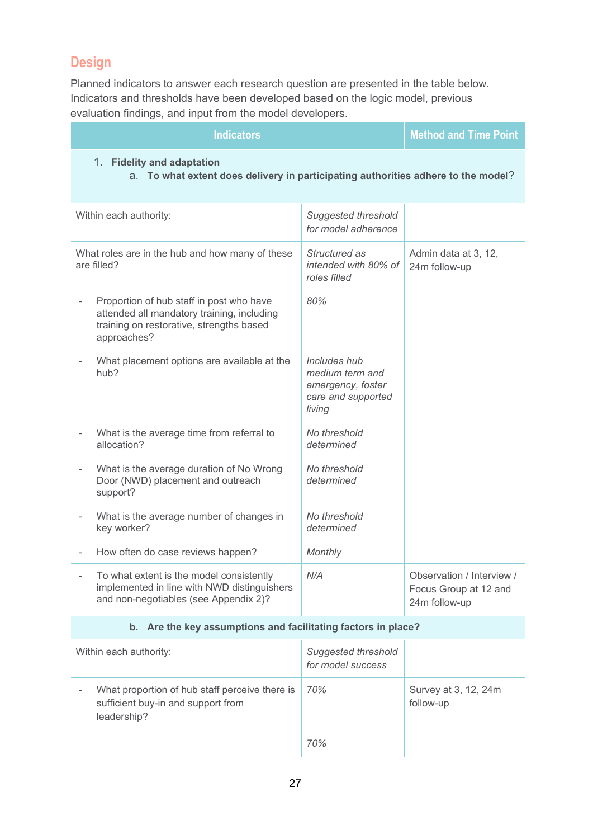# <span id="page-26-0"></span>**Design**

Planned indicators to answer each research question are presented in the table below. Indicators and thresholds have been developed based on the logic model, previous evaluation findings, and input from the model developers.

| <b>Indicators</b>                                                                                                                                  | <b>Method and Time Point</b>                                                         |                                                                     |
|----------------------------------------------------------------------------------------------------------------------------------------------------|--------------------------------------------------------------------------------------|---------------------------------------------------------------------|
| 1. Fidelity and adaptation<br>a. To what extent does delivery in participating authorities adhere to the model?                                    |                                                                                      |                                                                     |
| Within each authority:                                                                                                                             | <b>Suggested threshold</b><br>for model adherence                                    |                                                                     |
| What roles are in the hub and how many of these<br>are filled?                                                                                     | Structured as<br>intended with 80% of<br>roles filled                                | Admin data at 3, 12,<br>24m follow-up                               |
| Proportion of hub staff in post who have<br>attended all mandatory training, including<br>training on restorative, strengths based<br>approaches?  | 80%                                                                                  |                                                                     |
| What placement options are available at the<br>hub?                                                                                                | Includes hub<br>medium term and<br>emergency, foster<br>care and supported<br>living |                                                                     |
| What is the average time from referral to<br>allocation?                                                                                           | No threshold<br>determined                                                           |                                                                     |
| What is the average duration of No Wrong<br>Door (NWD) placement and outreach<br>support?                                                          | No threshold<br>determined                                                           |                                                                     |
| What is the average number of changes in<br>key worker?                                                                                            | No threshold<br>determined                                                           |                                                                     |
| How often do case reviews happen?                                                                                                                  | Monthly                                                                              |                                                                     |
| To what extent is the model consistently<br>$\overline{a}$<br>implemented in line with NWD distinguishers<br>and non-negotiables (see Appendix 2)? | N/A                                                                                  | Observation / Interview /<br>Focus Group at 12 and<br>24m follow-up |
| b. Are the key assumptions and facilitating factors in place?                                                                                      |                                                                                      |                                                                     |

| Within each authority: |                                                                                                     | <b>Suggested threshold</b><br>for model success |                                   |
|------------------------|-----------------------------------------------------------------------------------------------------|-------------------------------------------------|-----------------------------------|
|                        | What proportion of hub staff perceive there is<br>sufficient buy-in and support from<br>leadership? | 70%                                             | Survey at 3, 12, 24m<br>follow-up |
|                        |                                                                                                     | 70%                                             |                                   |

Ŧ

ī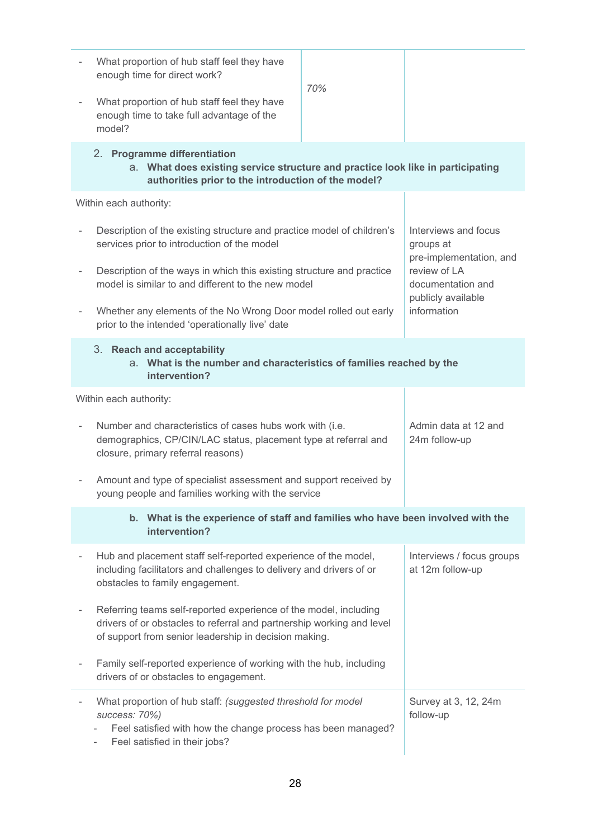|                                                                                                                                                                                                            | What proportion of hub staff feel they have<br>enough time for direct work?                                                                                                                        | 70%                                   |                                                                                    |  |  |
|------------------------------------------------------------------------------------------------------------------------------------------------------------------------------------------------------------|----------------------------------------------------------------------------------------------------------------------------------------------------------------------------------------------------|---------------------------------------|------------------------------------------------------------------------------------|--|--|
|                                                                                                                                                                                                            | What proportion of hub staff feel they have<br>enough time to take full advantage of the<br>model?                                                                                                 |                                       |                                                                                    |  |  |
|                                                                                                                                                                                                            | 2. Programme differentiation<br>a. What does existing service structure and practice look like in participating<br>authorities prior to the introduction of the model?                             |                                       |                                                                                    |  |  |
|                                                                                                                                                                                                            | Within each authority:                                                                                                                                                                             |                                       |                                                                                    |  |  |
|                                                                                                                                                                                                            | Description of the existing structure and practice model of children's<br>services prior to introduction of the model                                                                              |                                       | Interviews and focus<br>groups at                                                  |  |  |
| $\overline{\phantom{a}}$                                                                                                                                                                                   | Description of the ways in which this existing structure and practice<br>model is similar to and different to the new model                                                                        |                                       | pre-implementation, and<br>review of LA<br>documentation and<br>publicly available |  |  |
|                                                                                                                                                                                                            | Whether any elements of the No Wrong Door model rolled out early<br>prior to the intended 'operationally live' date                                                                                |                                       | information                                                                        |  |  |
|                                                                                                                                                                                                            | 3. Reach and acceptability<br>a. What is the number and characteristics of families reached by the<br>intervention?                                                                                |                                       |                                                                                    |  |  |
|                                                                                                                                                                                                            | Within each authority:                                                                                                                                                                             |                                       |                                                                                    |  |  |
| Number and characteristics of cases hubs work with (i.e.<br>demographics, CP/CIN/LAC status, placement type at referral and<br>closure, primary referral reasons)                                          |                                                                                                                                                                                                    | Admin data at 12 and<br>24m follow-up |                                                                                    |  |  |
|                                                                                                                                                                                                            | Amount and type of specialist assessment and support received by<br>young people and families working with the service                                                                             |                                       |                                                                                    |  |  |
| b. What is the experience of staff and families who have been involved with the<br>intervention?                                                                                                           |                                                                                                                                                                                                    |                                       |                                                                                    |  |  |
|                                                                                                                                                                                                            | Hub and placement staff self-reported experience of the model,<br>including facilitators and challenges to delivery and drivers of or<br>obstacles to family engagement.                           |                                       | Interviews / focus groups<br>at 12m follow-up                                      |  |  |
|                                                                                                                                                                                                            | Referring teams self-reported experience of the model, including<br>drivers of or obstacles to referral and partnership working and level<br>of support from senior leadership in decision making. |                                       |                                                                                    |  |  |
|                                                                                                                                                                                                            | Family self-reported experience of working with the hub, including<br>drivers of or obstacles to engagement.                                                                                       |                                       |                                                                                    |  |  |
| What proportion of hub staff: (suggested threshold for model<br>success: 70%)<br>Feel satisfied with how the change process has been managed?<br>Feel satisfied in their jobs?<br>$\overline{\phantom{0}}$ |                                                                                                                                                                                                    | Survey at 3, 12, 24m<br>follow-up     |                                                                                    |  |  |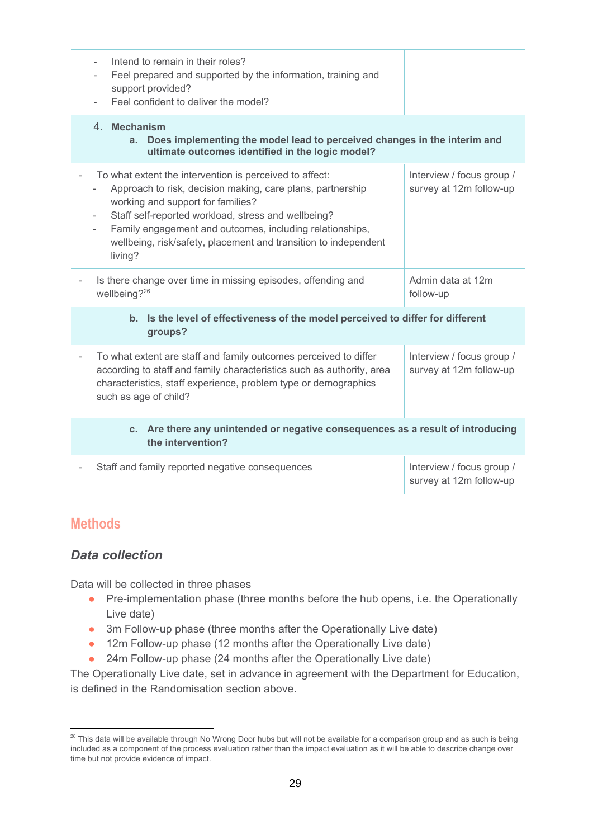| Intend to remain in their roles?<br>Feel prepared and supported by the information, training and<br>support provided?<br>Feel confident to deliver the model?                                                                                                                                                                                               |                                                      |
|-------------------------------------------------------------------------------------------------------------------------------------------------------------------------------------------------------------------------------------------------------------------------------------------------------------------------------------------------------------|------------------------------------------------------|
| 4. Mechanism<br>Does implementing the model lead to perceived changes in the interim and<br>a.<br>ultimate outcomes identified in the logic model?                                                                                                                                                                                                          |                                                      |
| To what extent the intervention is perceived to affect:<br>Approach to risk, decision making, care plans, partnership<br>working and support for families?<br>Staff self-reported workload, stress and wellbeing?<br>Family engagement and outcomes, including relationships,<br>wellbeing, risk/safety, placement and transition to independent<br>living? | Interview / focus group /<br>survey at 12m follow-up |
| Is there change over time in missing episodes, offending and<br>wellbeing? <sup>26</sup>                                                                                                                                                                                                                                                                    | Admin data at 12m<br>follow-up                       |
| Is the level of effectiveness of the model perceived to differ for different<br>b.<br>groups?                                                                                                                                                                                                                                                               |                                                      |
| To what extent are staff and family outcomes perceived to differ<br>according to staff and family characteristics such as authority, area<br>characteristics, staff experience, problem type or demographics<br>such as age of child?                                                                                                                       | Interview / focus group /<br>survey at 12m follow-up |
| Are there any unintended or negative consequences as a result of introducing<br>$c_{\cdot}$<br>the intervention?                                                                                                                                                                                                                                            |                                                      |
| Staff and family reported negative consequences                                                                                                                                                                                                                                                                                                             | Interview / focus group /<br>survey at 12m follow-up |

## <span id="page-28-0"></span>**Methods**

## *Data collection*

Data will be collected in three phases

- Pre-implementation phase (three months before the hub opens, i.e. the Operationally Live date)
- 3m Follow-up phase (three months after the Operationally Live date)
- 12m Follow-up phase (12 months after the Operationally Live date)
- 24m Follow-up phase (24 months after the Operationally Live date)

The Operationally Live date, set in advance in agreement with the Department for Education, is defined in the Randomisation section above.

<sup>&</sup>lt;sup>26</sup> This data will be available through No Wrong Door hubs but will not be available for a comparison group and as such is being included as a component of the process evaluation rather than the impact evaluation as it will be able to describe change over time but not provide evidence of impact.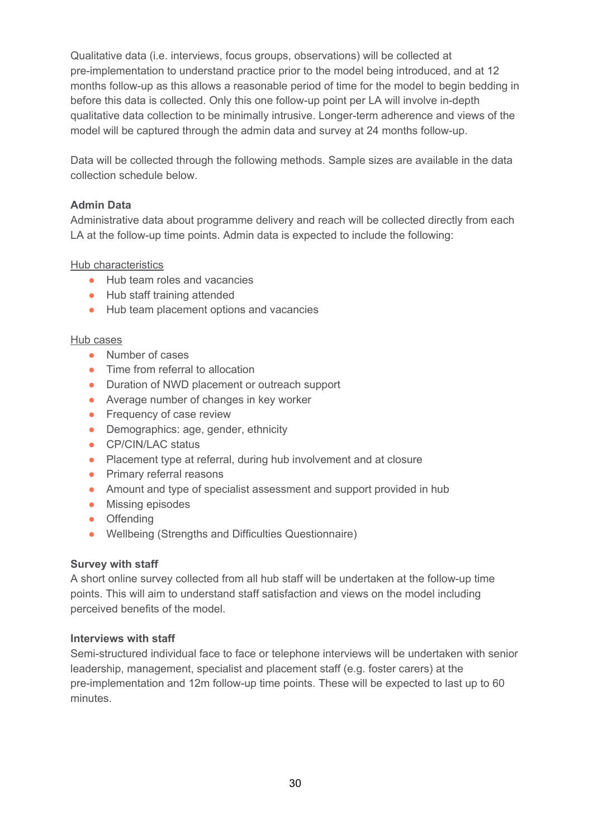Qualitative data (i.e. interviews, focus groups, observations) will be collected at pre-implementation to understand practice prior to the model being introduced, and at 12 months follow-up as this allows a reasonable period of time for the model to begin bedding in before this data is collected. Only this one follow-up point per LA will involve in-depth qualitative data collection to be minimally intrusive. Longer-term adherence and views of the model will be captured through the admin data and survey at 24 months follow-up.

Data will be collected through the following methods. Sample sizes are available in the data collection schedule below.

#### **Admin Data**

Administrative data about programme delivery and reach will be collected directly from each LA at the follow-up time points. Admin data is expected to include the following:

#### Hub characteristics

- Hub team roles and vacancies
- Hub staff training attended
- Hub team placement options and vacancies

#### Hub cases

- Number of cases
- Time from referral to allocation
- Duration of NWD placement or outreach support
- Average number of changes in key worker
- Frequency of case review
- Demographics: age, gender, ethnicity
- CP/CIN/LAC status
- Placement type at referral, during hub involvement and at closure
- Primary referral reasons
- Amount and type of specialist assessment and support provided in hub
- Missing episodes
- Offending
- Wellbeing (Strengths and Difficulties Questionnaire)

#### **Survey with staff**

A short online survey collected from all hub staff will be undertaken at the follow-up time points. This will aim to understand staff satisfaction and views on the model including perceived benefits of the model.

#### **Interviews with staff**

Semi-structured individual face to face or telephone interviews will be undertaken with senior leadership, management, specialist and placement staff (e.g. foster carers) at the pre-implementation and 12m follow-up time points. These will be expected to last up to 60 minutes.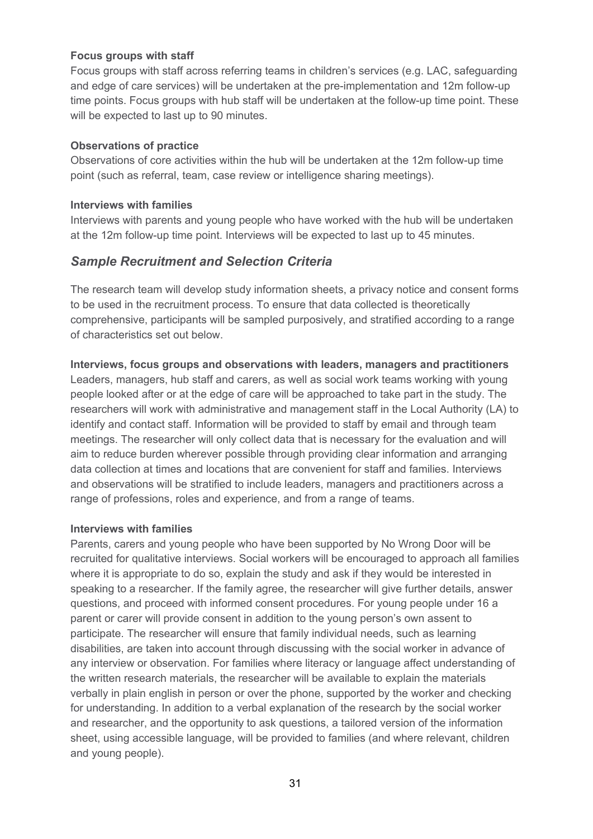#### **Focus groups with staff**

Focus groups with staff across referring teams in children's services (e.g. LAC, safeguarding and edge of care services) will be undertaken at the pre-implementation and 12m follow-up time points. Focus groups with hub staff will be undertaken at the follow-up time point. These will be expected to last up to 90 minutes.

#### **Observations of practice**

Observations of core activities within the hub will be undertaken at the 12m follow-up time point (such as referral, team, case review or intelligence sharing meetings).

#### **Interviews with families**

Interviews with parents and young people who have worked with the hub will be undertaken at the 12m follow-up time point. Interviews will be expected to last up to 45 minutes.

## *Sample Recruitment and Selection Criteria*

The research team will develop study information sheets, a privacy notice and consent forms to be used in the recruitment process. To ensure that data collected is theoretically comprehensive, participants will be sampled purposively, and stratified according to a range of characteristics set out below.

## **Interviews, focus groups and observations with leaders, managers and practitioners** Leaders, managers, hub staff and carers, as well as social work teams working with young people looked after or at the edge of care will be approached to take part in the study. The researchers will work with administrative and management staff in the Local Authority (LA) to identify and contact staff. Information will be provided to staff by email and through team meetings. The researcher will only collect data that is necessary for the evaluation and will aim to reduce burden wherever possible through providing clear information and arranging data collection at times and locations that are convenient for staff and families. Interviews and observations will be stratified to include leaders, managers and practitioners across a range of professions, roles and experience, and from a range of teams.

#### **Interviews with families**

Parents, carers and young people who have been supported by No Wrong Door will be recruited for qualitative interviews. Social workers will be encouraged to approach all families where it is appropriate to do so, explain the study and ask if they would be interested in speaking to a researcher. If the family agree, the researcher will give further details, answer questions, and proceed with informed consent procedures. For young people under 16 a parent or carer will provide consent in addition to the young person's own assent to participate. The researcher will ensure that family individual needs, such as learning disabilities, are taken into account through discussing with the social worker in advance of any interview or observation. For families where literacy or language affect understanding of the written research materials, the researcher will be available to explain the materials verbally in plain english in person or over the phone, supported by the worker and checking for understanding. In addition to a verbal explanation of the research by the social worker and researcher, and the opportunity to ask questions, a tailored version of the information sheet, using accessible language, will be provided to families (and where relevant, children and young people).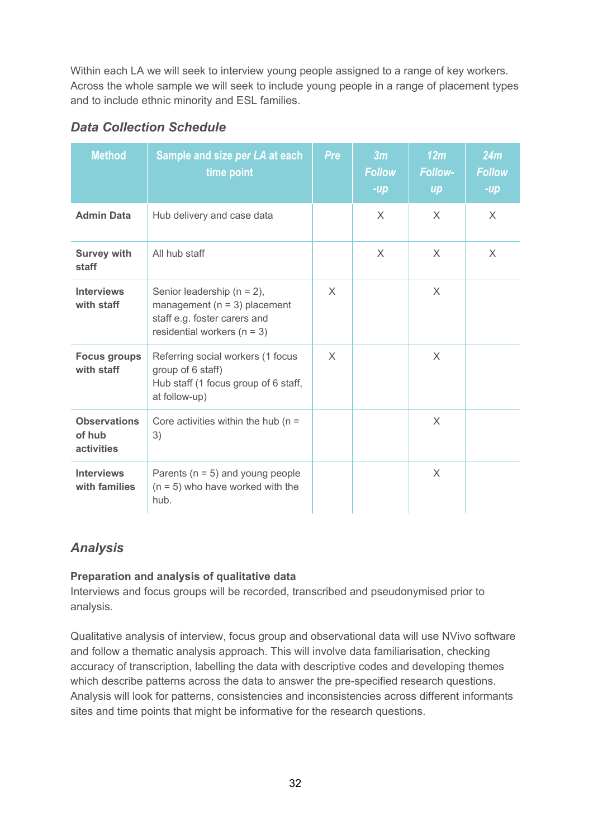Within each LA we will seek to interview young people assigned to a range of key workers. Across the whole sample we will seek to include young people in a range of placement types and to include ethnic minority and ESL families.

| <b>Method</b>                               | Sample and size per LA at each<br>time point                                                                                          | Pre      | 3m<br><b>Follow</b><br>$-up$ | 12m<br><b>Follow-</b><br>$\boldsymbol{u}$ | 24m<br><b>Follow</b><br>$-up$ |
|---------------------------------------------|---------------------------------------------------------------------------------------------------------------------------------------|----------|------------------------------|-------------------------------------------|-------------------------------|
| <b>Admin Data</b>                           | Hub delivery and case data                                                                                                            |          | $\times$                     | $\times$                                  | X                             |
| <b>Survey with</b><br>staff                 | All hub staff                                                                                                                         |          | $\times$                     | $\times$                                  | X                             |
| <b>Interviews</b><br>with staff             | Senior leadership ( $n = 2$ ),<br>management ( $n = 3$ ) placement<br>staff e.g. foster carers and<br>residential workers ( $n = 3$ ) | $\times$ |                              | $\times$                                  |                               |
| <b>Focus groups</b><br>with staff           | Referring social workers (1 focus<br>group of 6 staff)<br>Hub staff (1 focus group of 6 staff,<br>at follow-up)                       | $\times$ |                              | X                                         |                               |
| <b>Observations</b><br>of hub<br>activities | Core activities within the hub ( $n =$<br>3)                                                                                          |          |                              | $\times$                                  |                               |
| <b>Interviews</b><br>with families          | Parents ( $n = 5$ ) and young people<br>$(n = 5)$ who have worked with the<br>hub.                                                    |          |                              | $\times$                                  |                               |

## *Data Collection Schedule*

## *Analysis*

## **Preparation and analysis of qualitative data**

Interviews and focus groups will be recorded, transcribed and pseudonymised prior to analysis.

Qualitative analysis of interview, focus group and observational data will use NVivo software and follow a thematic analysis approach. This will involve data familiarisation, checking accuracy of transcription, labelling the data with descriptive codes and developing themes which describe patterns across the data to answer the pre-specified research questions. Analysis will look for patterns, consistencies and inconsistencies across different informants sites and time points that might be informative for the research questions.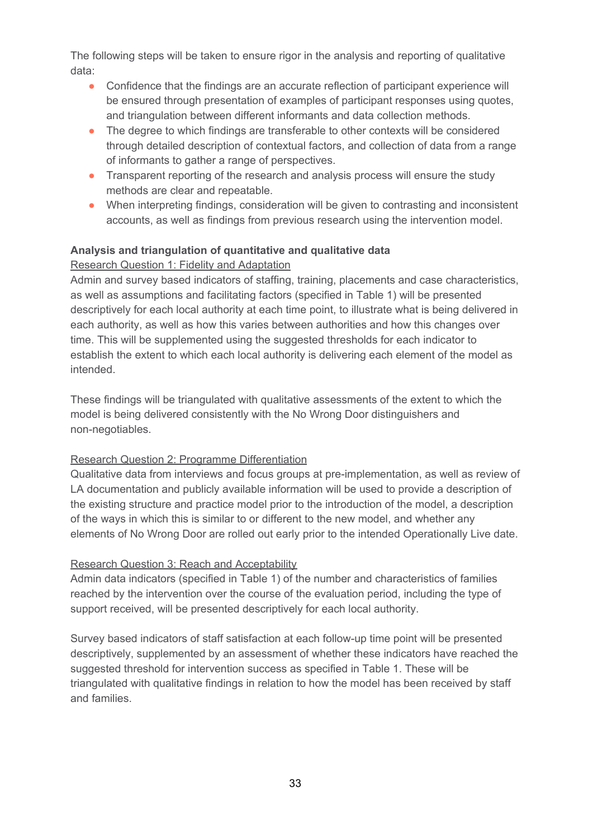The following steps will be taken to ensure rigor in the analysis and reporting of qualitative data:

- Confidence that the findings are an accurate reflection of participant experience will be ensured through presentation of examples of participant responses using quotes, and triangulation between different informants and data collection methods.
- The degree to which findings are transferable to other contexts will be considered through detailed description of contextual factors, and collection of data from a range of informants to gather a range of perspectives.
- Transparent reporting of the research and analysis process will ensure the study methods are clear and repeatable.
- When interpreting findings, consideration will be given to contrasting and inconsistent accounts, as well as findings from previous research using the intervention model.

#### **Analysis and triangulation of quantitative and qualitative data**

## Research Question 1: Fidelity and Adaptation

Admin and survey based indicators of staffing, training, placements and case characteristics, as well as assumptions and facilitating factors (specified in Table 1) will be presented descriptively for each local authority at each time point, to illustrate what is being delivered in each authority, as well as how this varies between authorities and how this changes over time. This will be supplemented using the suggested thresholds for each indicator to establish the extent to which each local authority is delivering each element of the model as intended.

These findings will be triangulated with qualitative assessments of the extent to which the model is being delivered consistently with the No Wrong Door distinguishers and non-negotiables.

#### Research Question 2: Programme Differentiation

Qualitative data from interviews and focus groups at pre-implementation, as well as review of LA documentation and publicly available information will be used to provide a description of the existing structure and practice model prior to the introduction of the model, a description of the ways in which this is similar to or different to the new model, and whether any elements of No Wrong Door are rolled out early prior to the intended Operationally Live date.

#### Research Question 3: Reach and Acceptability

Admin data indicators (specified in Table 1) of the number and characteristics of families reached by the intervention over the course of the evaluation period, including the type of support received, will be presented descriptively for each local authority.

Survey based indicators of staff satisfaction at each follow-up time point will be presented descriptively, supplemented by an assessment of whether these indicators have reached the suggested threshold for intervention success as specified in Table 1. These will be triangulated with qualitative findings in relation to how the model has been received by staff and families.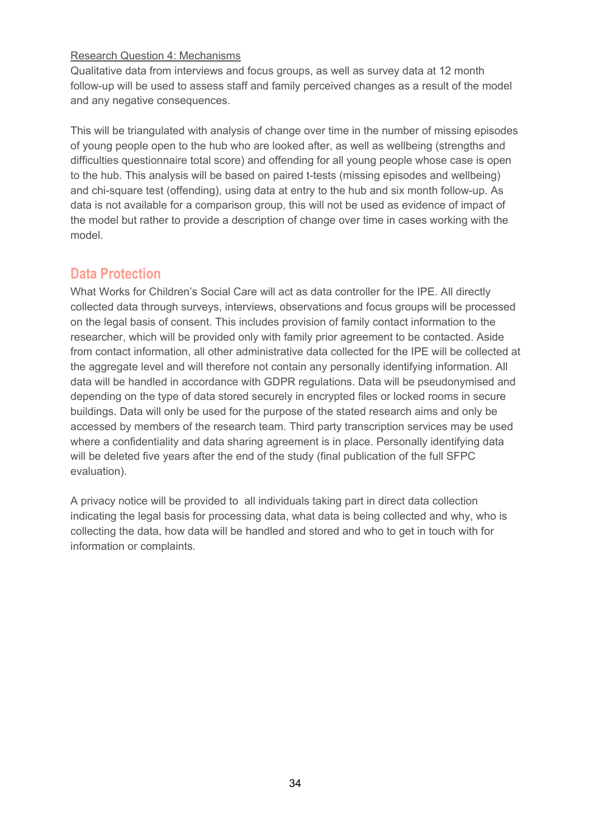#### Research Question 4: Mechanisms

Qualitative data from interviews and focus groups, as well as survey data at 12 month follow-up will be used to assess staff and family perceived changes as a result of the model and any negative consequences.

This will be triangulated with analysis of change over time in the number of missing episodes of young people open to the hub who are looked after, as well as wellbeing (strengths and difficulties questionnaire total score) and offending for all young people whose case is open to the hub. This analysis will be based on paired t-tests (missing episodes and wellbeing) and chi-square test (offending), using data at entry to the hub and six month follow-up. As data is not available for a comparison group, this will not be used as evidence of impact of the model but rather to provide a description of change over time in cases working with the model.

## **Data Protection**

What Works for Children's Social Care will act as data controller for the IPE. All directly collected data through surveys, interviews, observations and focus groups will be processed on the legal basis of consent. This includes provision of family contact information to the researcher, which will be provided only with family prior agreement to be contacted. Aside from contact information, all other administrative data collected for the IPE will be collected at the aggregate level and will therefore not contain any personally identifying information. All data will be handled in accordance with GDPR regulations. Data will be pseudonymised and depending on the type of data stored securely in encrypted files or locked rooms in secure buildings. Data will only be used for the purpose of the stated research aims and only be accessed by members of the research team. Third party transcription services may be used where a confidentiality and data sharing agreement is in place. Personally identifying data will be deleted five years after the end of the study (final publication of the full SFPC evaluation).

<span id="page-33-0"></span>A privacy notice will be provided to all individuals taking part in direct data collection indicating the legal basis for processing data, what data is being collected and why, who is collecting the data, how data will be handled and stored and who to get in touch with for information or complaints.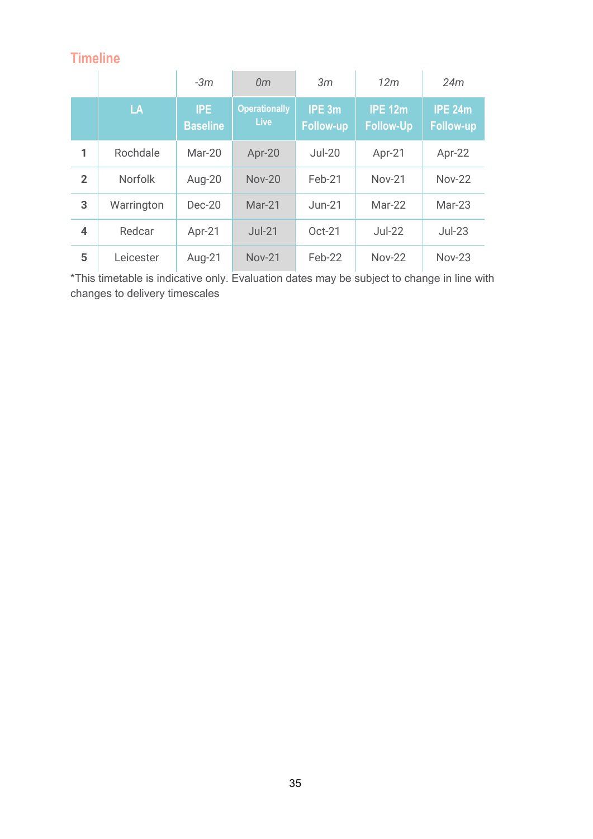# **Timeline**

|                         |                | $-3m$                         | 0 <sub>m</sub>                      | 3m                         | 12m                                | 24m                                |
|-------------------------|----------------|-------------------------------|-------------------------------------|----------------------------|------------------------------------|------------------------------------|
|                         | LA             | <b>IPE</b><br><b>Baseline</b> | <b>Operationally</b><br><b>Live</b> | IPE 3m<br><b>Follow-up</b> | <b>IPE 12m</b><br><b>Follow-Up</b> | <b>IPE 24m</b><br><b>Follow-up</b> |
| 1                       | Rochdale       | Mar-20                        | Apr-20                              | $Jul-20$                   | Apr-21                             | Apr-22                             |
| $\overline{2}$          | <b>Norfolk</b> | Aug-20                        | <b>Nov-20</b>                       | Feb-21                     | <b>Nov-21</b>                      | <b>Nov-22</b>                      |
| 3                       | Warrington     | $Dec-20$                      | Mar-21                              | $Jun-21$                   | Mar-22                             | Mar-23                             |
| $\overline{\mathbf{4}}$ | Redcar         | Apr-21                        | $Jul-21$                            | Oct-21                     | $Jul-22$                           | $Jul-23$                           |
| 5                       | Leicester      | Aug-21                        | <b>Nov-21</b>                       | Feb-22                     | <b>Nov-22</b>                      | <b>Nov-23</b>                      |

\*This timetable is indicative only. Evaluation dates may be subject to change in line with changes to delivery timescales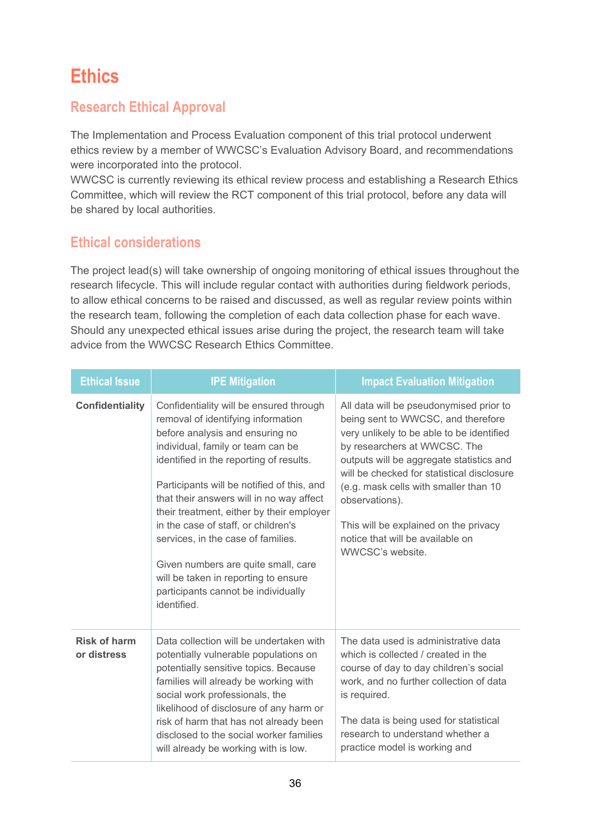# <span id="page-35-0"></span>**Ethics**

# <span id="page-35-1"></span>**Research Ethical Approval**

The Implementation and Process Evaluation component of this trial protocol underwent ethics review by a member of WWCSC's Evaluation Advisory Board, and recommendations were incorporated into the protocol.

WWCSC is currently reviewing its ethical review process and establishing a Research Ethics Committee, which will review the RCT component of this trial protocol, before any data will be shared by local authorities.

## <span id="page-35-2"></span>**Ethical considerations**

The project lead(s) will take ownership of ongoing monitoring of ethical issues throughout the research lifecycle. This will include regular contact with authorities during fieldwork periods, to allow ethical concerns to be raised and discussed, as well as regular review points within the research team, following the completion of each data collection phase for each wave. Should any unexpected ethical issues arise during the project, the research team will take advice from the WWCSC Research Ethics Committee.

| <b>Ethical Issue</b>               | <b>IPE Mitigation</b>                                                                                                                                                                                                                                                                                                                                                                                                                                                                                                                                     | <b>Impact Evaluation Mitigation</b>                                                                                                                                                                                                                                                                                                                                                                              |
|------------------------------------|-----------------------------------------------------------------------------------------------------------------------------------------------------------------------------------------------------------------------------------------------------------------------------------------------------------------------------------------------------------------------------------------------------------------------------------------------------------------------------------------------------------------------------------------------------------|------------------------------------------------------------------------------------------------------------------------------------------------------------------------------------------------------------------------------------------------------------------------------------------------------------------------------------------------------------------------------------------------------------------|
| <b>Confidentiality</b>             | Confidentiality will be ensured through<br>removal of identifying information<br>before analysis and ensuring no<br>individual, family or team can be<br>identified in the reporting of results.<br>Participants will be notified of this, and<br>that their answers will in no way affect<br>their treatment, either by their employer<br>in the case of staff, or children's<br>services, in the case of families.<br>Given numbers are quite small, care<br>will be taken in reporting to ensure<br>participants cannot be individually<br>identified. | All data will be pseudonymised prior to<br>being sent to WWCSC, and therefore<br>very unlikely to be able to be identified<br>by researchers at WWCSC. The<br>outputs will be aggregate statistics and<br>will be checked for statistical disclosure<br>(e.g. mask cells with smaller than 10<br>observations).<br>This will be explained on the privacy<br>notice that will be available on<br>WWCSC's website. |
| <b>Risk of harm</b><br>or distress | Data collection will be undertaken with<br>potentially vulnerable populations on<br>potentially sensitive topics. Because<br>families will already be working with<br>social work professionals, the<br>likelihood of disclosure of any harm or<br>risk of harm that has not already been<br>disclosed to the social worker families<br>will already be working with is low.                                                                                                                                                                              | The data used is administrative data<br>which is collected / created in the<br>course of day to day children's social<br>work, and no further collection of data<br>is required.<br>The data is being used for statistical<br>research to understand whether a<br>practice model is working and                                                                                                                  |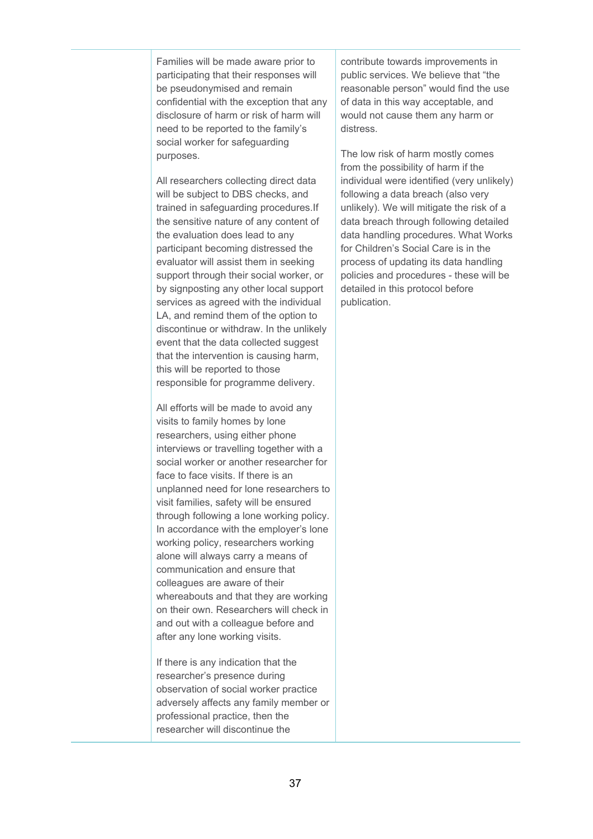Families will be made aware prior to participating that their responses will be pseudonymised and remain confidential with the exception that any disclosure of harm or risk of harm will need to be reported to the family's social worker for safeguarding purposes.

All researchers collecting direct data will be subject to DBS checks, and trained in safeguarding procedures.If the sensitive nature of any content of the evaluation does lead to any participant becoming distressed the evaluator will assist them in seeking support through their social worker, or by signposting any other local support services as agreed with the individual LA, and remind them of the option to discontinue or withdraw. In the unlikely event that the data collected suggest that the intervention is causing harm, this will be reported to those responsible for programme delivery.

All efforts will be made to avoid any visits to family homes by lone researchers, using either phone interviews or travelling together with a social worker or another researcher for face to face visits. If there is an unplanned need for lone researchers to visit families, safety will be ensured through following a lone working policy. In accordance with the employer's lone working policy, researchers working alone will always carry a means of communication and ensure that colleagues are aware of their whereabouts and that they are working on their own. Researchers will check in and out with a colleague before and after any lone working visits.

If there is any indication that the researcher's presence during observation of social worker practice adversely affects any family member or professional practice, then the researcher will discontinue the

contribute towards improvements in public services. We believe that "the reasonable person" would find the use of data in this way acceptable, and would not cause them any harm or distress.

The low risk of harm mostly comes from the possibility of harm if the individual were identified (very unlikely) following a data breach (also very unlikely). We will mitigate the risk of a data breach through following detailed data handling procedures. What Works for Children's Social Care is in the process of updating its data handling policies and procedures - these will be detailed in this protocol before publication.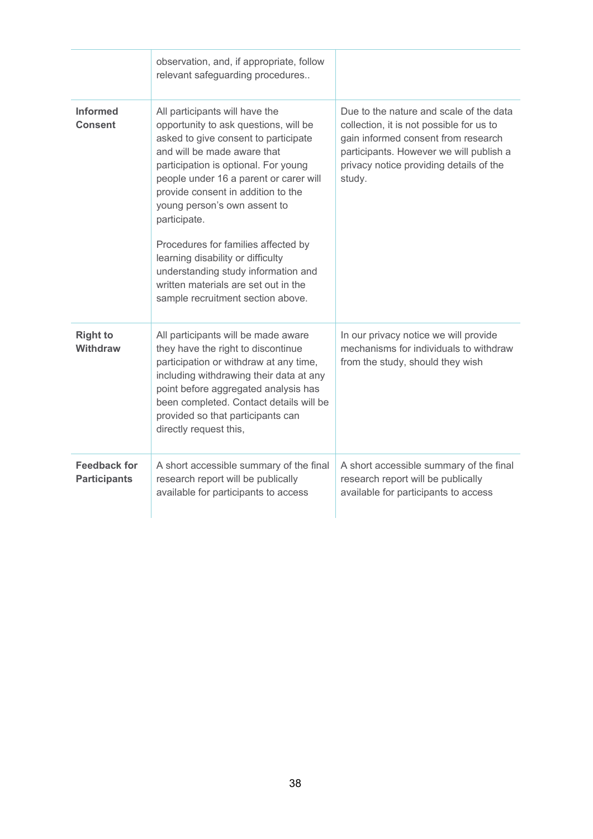|                                            | observation, and, if appropriate, follow<br>relevant safeguarding procedures                                                                                                                                                                                                                                                                                                                                                                                                                                           |                                                                                                                                                                                                                            |
|--------------------------------------------|------------------------------------------------------------------------------------------------------------------------------------------------------------------------------------------------------------------------------------------------------------------------------------------------------------------------------------------------------------------------------------------------------------------------------------------------------------------------------------------------------------------------|----------------------------------------------------------------------------------------------------------------------------------------------------------------------------------------------------------------------------|
| <b>Informed</b><br><b>Consent</b>          | All participants will have the<br>opportunity to ask questions, will be<br>asked to give consent to participate<br>and will be made aware that<br>participation is optional. For young<br>people under 16 a parent or carer will<br>provide consent in addition to the<br>young person's own assent to<br>participate.<br>Procedures for families affected by<br>learning disability or difficulty<br>understanding study information and<br>written materials are set out in the<br>sample recruitment section above. | Due to the nature and scale of the data<br>collection, it is not possible for us to<br>gain informed consent from research<br>participants. However we will publish a<br>privacy notice providing details of the<br>study. |
| <b>Right to</b><br><b>Withdraw</b>         | All participants will be made aware<br>they have the right to discontinue<br>participation or withdraw at any time,<br>including withdrawing their data at any<br>point before aggregated analysis has<br>been completed. Contact details will be<br>provided so that participants can<br>directly request this,                                                                                                                                                                                                       | In our privacy notice we will provide<br>mechanisms for individuals to withdraw<br>from the study, should they wish                                                                                                        |
| <b>Feedback for</b><br><b>Participants</b> | A short accessible summary of the final<br>research report will be publically<br>available for participants to access                                                                                                                                                                                                                                                                                                                                                                                                  | A short accessible summary of the final<br>research report will be publically<br>available for participants to access                                                                                                      |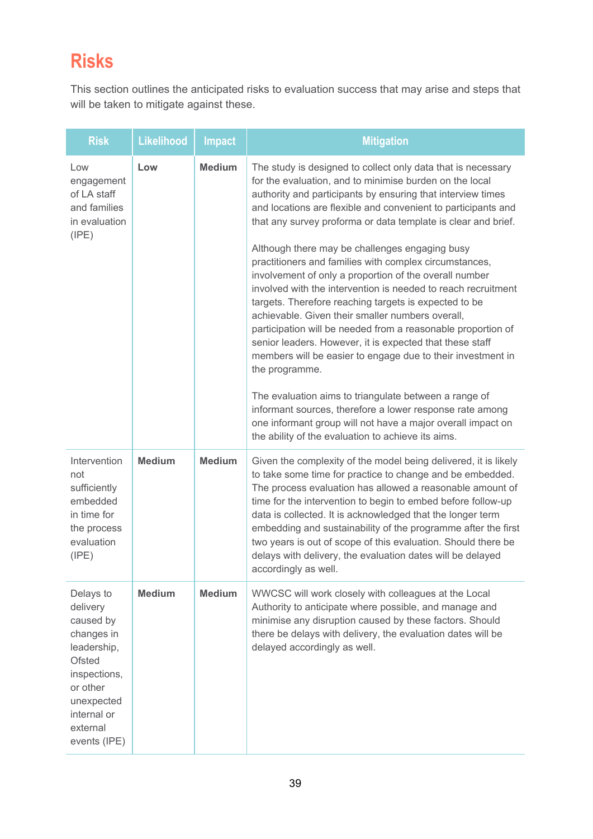# <span id="page-38-0"></span>**Risks**

This section outlines the anticipated risks to evaluation success that may arise and steps that will be taken to mitigate against these.

| <b>Risk</b>                                                                                                                                                           | <b>Likelihood</b> | <b>Impact</b> | <b>Mitigation</b>                                                                                                                                                                                                                                                                                                                                                                                                                                                                                                                                                                                                                                                                                                                                                                                                                                                                                                                                                                                                                                                                                                                   |
|-----------------------------------------------------------------------------------------------------------------------------------------------------------------------|-------------------|---------------|-------------------------------------------------------------------------------------------------------------------------------------------------------------------------------------------------------------------------------------------------------------------------------------------------------------------------------------------------------------------------------------------------------------------------------------------------------------------------------------------------------------------------------------------------------------------------------------------------------------------------------------------------------------------------------------------------------------------------------------------------------------------------------------------------------------------------------------------------------------------------------------------------------------------------------------------------------------------------------------------------------------------------------------------------------------------------------------------------------------------------------------|
| Low<br>engagement<br>of LA staff<br>and families<br>in evaluation<br>(IPE)                                                                                            | Low               | <b>Medium</b> | The study is designed to collect only data that is necessary<br>for the evaluation, and to minimise burden on the local<br>authority and participants by ensuring that interview times<br>and locations are flexible and convenient to participants and<br>that any survey proforma or data template is clear and brief.<br>Although there may be challenges engaging busy<br>practitioners and families with complex circumstances,<br>involvement of only a proportion of the overall number<br>involved with the intervention is needed to reach recruitment<br>targets. Therefore reaching targets is expected to be<br>achievable. Given their smaller numbers overall,<br>participation will be needed from a reasonable proportion of<br>senior leaders. However, it is expected that these staff<br>members will be easier to engage due to their investment in<br>the programme.<br>The evaluation aims to triangulate between a range of<br>informant sources, therefore a lower response rate among<br>one informant group will not have a major overall impact on<br>the ability of the evaluation to achieve its aims. |
| Intervention<br>not<br>sufficiently<br>embedded<br>in time for<br>the process<br>evaluation<br>(IPE)                                                                  | <b>Medium</b>     | <b>Medium</b> | Given the complexity of the model being delivered, it is likely<br>to take some time for practice to change and be embedded.<br>The process evaluation has allowed a reasonable amount of<br>time for the intervention to begin to embed before follow-up<br>data is collected. It is acknowledged that the longer term<br>embedding and sustainability of the programme after the first<br>two years is out of scope of this evaluation. Should there be<br>delays with delivery, the evaluation dates will be delayed<br>accordingly as well.                                                                                                                                                                                                                                                                                                                                                                                                                                                                                                                                                                                     |
| Delays to<br>delivery<br>caused by<br>changes in<br>leadership,<br><b>Ofsted</b><br>inspections,<br>or other<br>unexpected<br>internal or<br>external<br>events (IPE) | <b>Medium</b>     | <b>Medium</b> | WWCSC will work closely with colleagues at the Local<br>Authority to anticipate where possible, and manage and<br>minimise any disruption caused by these factors. Should<br>there be delays with delivery, the evaluation dates will be<br>delayed accordingly as well.                                                                                                                                                                                                                                                                                                                                                                                                                                                                                                                                                                                                                                                                                                                                                                                                                                                            |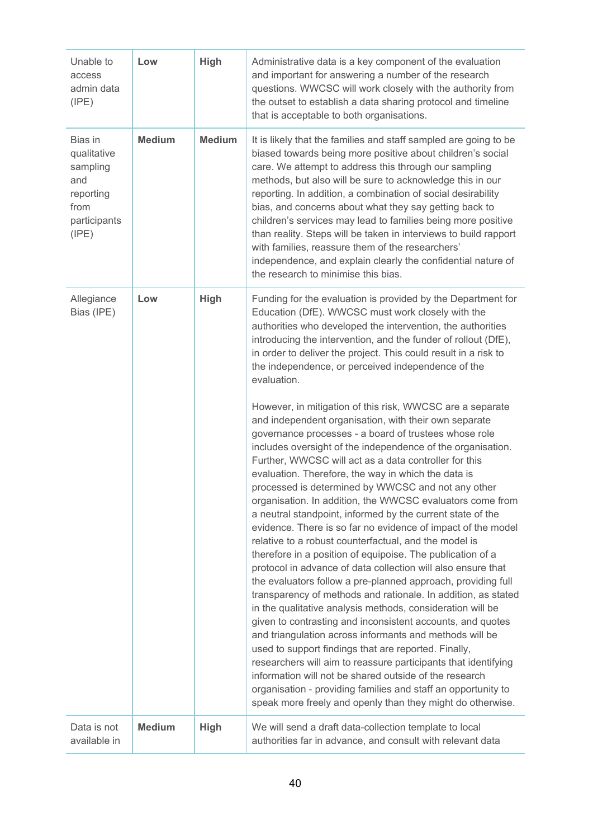| Unable to<br>access<br>admin data<br>(IPE)                                              | Low           | High          | Administrative data is a key component of the evaluation<br>and important for answering a number of the research<br>questions. WWCSC will work closely with the authority from<br>the outset to establish a data sharing protocol and timeline<br>that is acceptable to both organisations.                                                                                                                                                                                                                                                                                                                                                                                                                                                                                                                                                                                                                                                                                                                                                                                                                                                                                                                                                                                                                                                                                                                                                   |
|-----------------------------------------------------------------------------------------|---------------|---------------|-----------------------------------------------------------------------------------------------------------------------------------------------------------------------------------------------------------------------------------------------------------------------------------------------------------------------------------------------------------------------------------------------------------------------------------------------------------------------------------------------------------------------------------------------------------------------------------------------------------------------------------------------------------------------------------------------------------------------------------------------------------------------------------------------------------------------------------------------------------------------------------------------------------------------------------------------------------------------------------------------------------------------------------------------------------------------------------------------------------------------------------------------------------------------------------------------------------------------------------------------------------------------------------------------------------------------------------------------------------------------------------------------------------------------------------------------|
| Bias in<br>qualitative<br>sampling<br>and<br>reporting<br>from<br>participants<br>(IPE) | <b>Medium</b> | <b>Medium</b> | It is likely that the families and staff sampled are going to be<br>biased towards being more positive about children's social<br>care. We attempt to address this through our sampling<br>methods, but also will be sure to acknowledge this in our<br>reporting. In addition, a combination of social desirability<br>bias, and concerns about what they say getting back to<br>children's services may lead to families being more positive<br>than reality. Steps will be taken in interviews to build rapport<br>with families, reassure them of the researchers'<br>independence, and explain clearly the confidential nature of<br>the research to minimise this bias.                                                                                                                                                                                                                                                                                                                                                                                                                                                                                                                                                                                                                                                                                                                                                                 |
| Allegiance<br>Bias (IPE)                                                                | Low           | High          | Funding for the evaluation is provided by the Department for<br>Education (DfE). WWCSC must work closely with the<br>authorities who developed the intervention, the authorities<br>introducing the intervention, and the funder of rollout (DfE),<br>in order to deliver the project. This could result in a risk to<br>the independence, or perceived independence of the<br>evaluation.                                                                                                                                                                                                                                                                                                                                                                                                                                                                                                                                                                                                                                                                                                                                                                                                                                                                                                                                                                                                                                                    |
|                                                                                         |               |               | However, in mitigation of this risk, WWCSC are a separate<br>and independent organisation, with their own separate<br>governance processes - a board of trustees whose role<br>includes oversight of the independence of the organisation.<br>Further, WWCSC will act as a data controller for this<br>evaluation. Therefore, the way in which the data is<br>processed is determined by WWCSC and not any other<br>organisation. In addition, the WWCSC evaluators come from<br>a neutral standpoint, informed by the current state of the<br>evidence. There is so far no evidence of impact of the model<br>relative to a robust counterfactual, and the model is<br>therefore in a position of equipoise. The publication of a<br>protocol in advance of data collection will also ensure that<br>the evaluators follow a pre-planned approach, providing full<br>transparency of methods and rationale. In addition, as stated<br>in the qualitative analysis methods, consideration will be<br>given to contrasting and inconsistent accounts, and quotes<br>and triangulation across informants and methods will be<br>used to support findings that are reported. Finally,<br>researchers will aim to reassure participants that identifying<br>information will not be shared outside of the research<br>organisation - providing families and staff an opportunity to<br>speak more freely and openly than they might do otherwise. |
| Data is not<br>available in                                                             | <b>Medium</b> | <b>High</b>   | We will send a draft data-collection template to local<br>authorities far in advance, and consult with relevant data                                                                                                                                                                                                                                                                                                                                                                                                                                                                                                                                                                                                                                                                                                                                                                                                                                                                                                                                                                                                                                                                                                                                                                                                                                                                                                                          |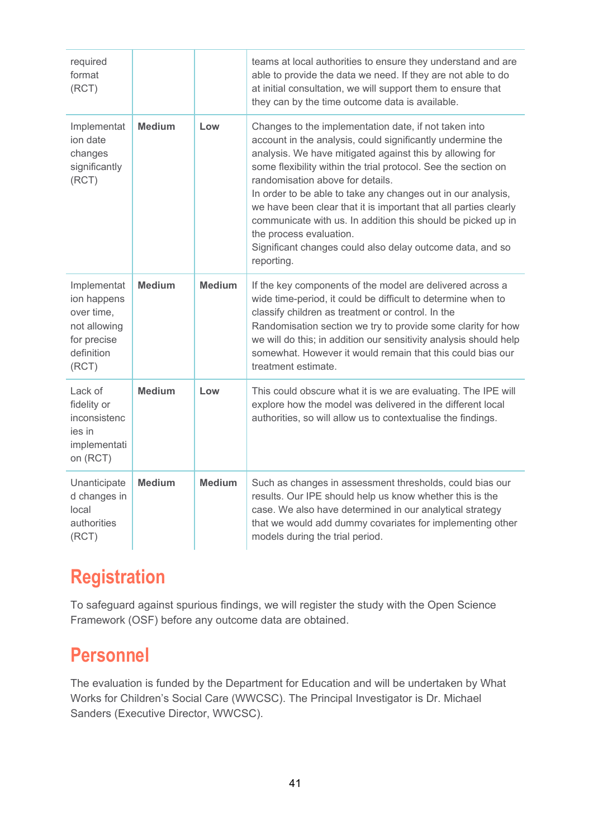| required<br>format<br>(RCT)                                                                    |               |               | teams at local authorities to ensure they understand and are<br>able to provide the data we need. If they are not able to do<br>at initial consultation, we will support them to ensure that<br>they can by the time outcome data is available.                                                                                                                                                                                                                                                                                                                                                 |
|------------------------------------------------------------------------------------------------|---------------|---------------|-------------------------------------------------------------------------------------------------------------------------------------------------------------------------------------------------------------------------------------------------------------------------------------------------------------------------------------------------------------------------------------------------------------------------------------------------------------------------------------------------------------------------------------------------------------------------------------------------|
| Implementat<br>ion date<br>changes<br>significantly<br>(RCT)                                   | <b>Medium</b> | Low           | Changes to the implementation date, if not taken into<br>account in the analysis, could significantly undermine the<br>analysis. We have mitigated against this by allowing for<br>some flexibility within the trial protocol. See the section on<br>randomisation above for details.<br>In order to be able to take any changes out in our analysis,<br>we have been clear that it is important that all parties clearly<br>communicate with us. In addition this should be picked up in<br>the process evaluation.<br>Significant changes could also delay outcome data, and so<br>reporting. |
| Implementat<br>ion happens<br>over time,<br>not allowing<br>for precise<br>definition<br>(RCT) | <b>Medium</b> | <b>Medium</b> | If the key components of the model are delivered across a<br>wide time-period, it could be difficult to determine when to<br>classify children as treatment or control. In the<br>Randomisation section we try to provide some clarity for how<br>we will do this; in addition our sensitivity analysis should help<br>somewhat. However it would remain that this could bias our<br>treatment estimate.                                                                                                                                                                                        |
| Lack of<br>fidelity or<br>inconsistenc<br>ies in<br>implementati<br>on (RCT)                   | <b>Medium</b> | Low           | This could obscure what it is we are evaluating. The IPE will<br>explore how the model was delivered in the different local<br>authorities, so will allow us to contextualise the findings.                                                                                                                                                                                                                                                                                                                                                                                                     |
| Unanticipate<br>d changes in<br>local<br>authorities<br>(RCT)                                  | <b>Medium</b> | <b>Medium</b> | Such as changes in assessment thresholds, could bias our<br>results. Our IPE should help us know whether this is the<br>case. We also have determined in our analytical strategy<br>that we would add dummy covariates for implementing other<br>models during the trial period.                                                                                                                                                                                                                                                                                                                |

# <span id="page-40-0"></span>**Registration**

To safeguard against spurious findings, we will register the study with the Open Science Framework (OSF) before any outcome data are obtained.

# **Personnel**

The evaluation is funded by the Department for Education and will be undertaken by What Works for Children's Social Care (WWCSC). The Principal Investigator is Dr. Michael Sanders (Executive Director, WWCSC).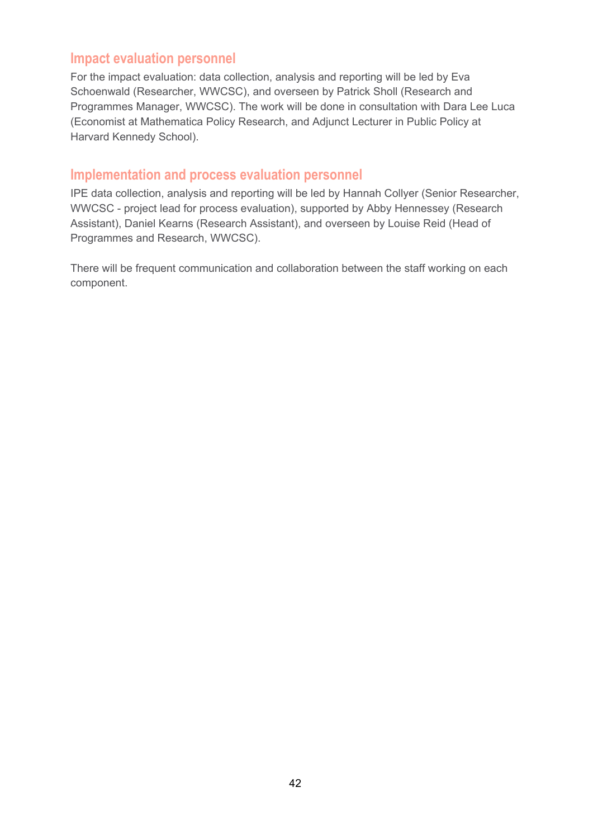## **Impact evaluation personnel**

For the impact evaluation: data collection, analysis and reporting will be led by Eva Schoenwald (Researcher, WWCSC), and overseen by Patrick Sholl (Research and Programmes Manager, WWCSC). The work will be done in consultation with Dara Lee Luca (Economist at Mathematica Policy Research, and Adjunct Lecturer in Public Policy at Harvard Kennedy School).

## **Implementation and process evaluation personnel**

IPE data collection, analysis and reporting will be led by Hannah Collyer (Senior Researcher, WWCSC - project lead for process evaluation), supported by Abby Hennessey (Research Assistant), Daniel Kearns (Research Assistant), and overseen by Louise Reid (Head of Programmes and Research, WWCSC).

There will be frequent communication and collaboration between the staff working on each component.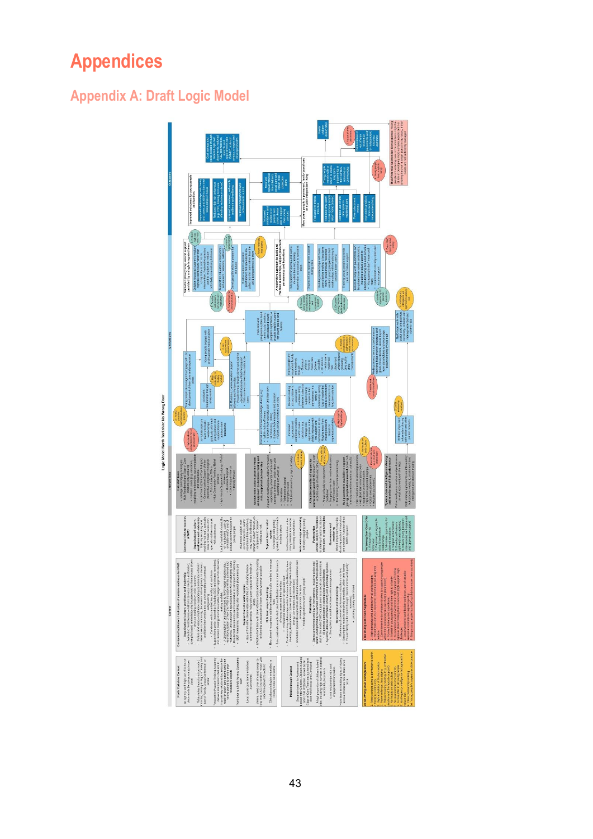# <span id="page-42-0"></span>**Appendices**

# **Appendix A: Draft Logic Model**

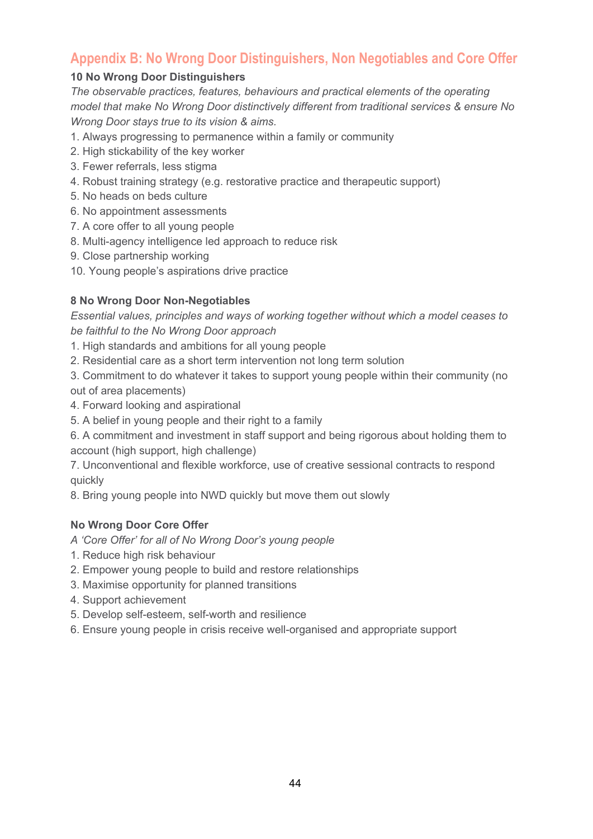# **Appendix B: No Wrong Door Distinguishers, Non Negotiables and Core Offer**

#### **10 No Wrong Door Distinguishers**

*The observable practices, features, behaviours and practical elements of the operating model that make No Wrong Door distinctively different from traditional services & ensure No Wrong Door stays true to its vision & aims.*

- 1. Always progressing to permanence within a family or community
- 2. High stickability of the key worker
- 3. Fewer referrals, less stigma
- 4. Robust training strategy (e.g. restorative practice and therapeutic support)
- 5. No heads on beds culture
- 6. No appointment assessments
- 7. A core offer to all young people
- 8. Multi-agency intelligence led approach to reduce risk
- 9. Close partnership working
- 10. Young people's aspirations drive practice

## **8 No Wrong Door Non-Negotiables**

*Essential values, principles and ways of working together without which a model ceases to be faithful to the No Wrong Door approach*

- 1. High standards and ambitions for all young people
- 2. Residential care as a short term intervention not long term solution

3. Commitment to do whatever it takes to support young people within their community (no out of area placements)

- 4. Forward looking and aspirational
- 5. A belief in young people and their right to a family
- 6. A commitment and investment in staff support and being rigorous about holding them to account (high support, high challenge)

7. Unconventional and flexible workforce, use of creative sessional contracts to respond quickly

8. Bring young people into NWD quickly but move them out slowly

#### **No Wrong Door Core Offer**

- *A 'Core Offer' for all of No Wrong Door's young people*
- 1. Reduce high risk behaviour
- 2. Empower young people to build and restore relationships
- 3. Maximise opportunity for planned transitions
- 4. Support achievement
- 5. Develop self-esteem, self-worth and resilience
- 6. Ensure young people in crisis receive well-organised and appropriate support